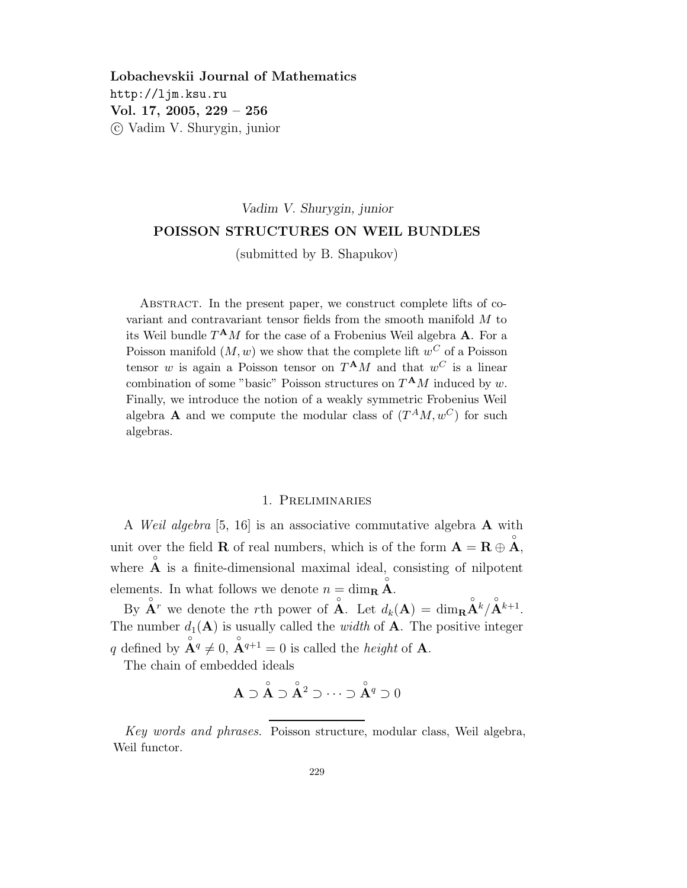Lobachevskii Journal of Mathematics http://ljm.ksu.ru Vol. 17, 2005, 229 – 256 c Vadim V. Shurygin, junior

# Vadim V. Shurygin, junior POISSON STRUCTURES ON WEIL BUNDLES

(submitted by B. Shapukov)

Abstract. In the present paper, we construct complete lifts of covariant and contravariant tensor fields from the smooth manifold M to its Weil bundle  $T^{\mathbf{A}}M$  for the case of a Frobenius Weil algebra **A**. For a Poisson manifold  $(M, w)$  we show that the complete lift  $w^C$  of a Poisson tensor w is again a Poisson tensor on  $T^{\mathbf{A}}M$  and that  $w^C$  is a linear combination of some "basic" Poisson structures on  $T^{\mathbf{A}}M$  induced by w. Finally, we introduce the notion of a weakly symmetric Frobenius Weil algebra **A** and we compute the modular class of  $(T^{A}M, w^{C})$  for such algebras.

#### 1. Preliminaries

A Weil algebra [5, 16] is an associative commutative algebra A with unit over the field **R** of real numbers, which is of the form  $\mathbf{A} = \mathbf{R} \oplus \mathbf{A}^{\circ}$ , where  $\hat{A}$  is a finite-dimensional maximal ideal, consisting of nilpotent elements. In what follows we denote  $n = \dim_{\mathbf{R}} \mathbf{A}$ .

By  $\mathbf{A}^r$  we denote the rth power of  $\mathbf{A}$ . Let  $d_k(\mathbf{A}) = \dim_{\mathbf{R}} \mathbf{A}^k / \mathbf{A}^{k+1}$ . The number  $d_1(\mathbf{A})$  is usually called the *width* of  $\mathbf{A}$ . The positive integer q defined by  $\mathbf{A}^q \neq 0$ ,  $\mathbf{A}^{q+1} = 0$  is called the *height* of **A**.

The chain of embedded ideals

$$
\mathbf{A} \supset \overset{\circ}{\mathbf{A}} \supset \overset{\circ}{\mathbf{A}}^2 \supset \cdots \supset \overset{\circ}{\mathbf{A}}^q \supset 0
$$

Key words and phrases. Poisson structure, modular class, Weil algebra, Weil functor.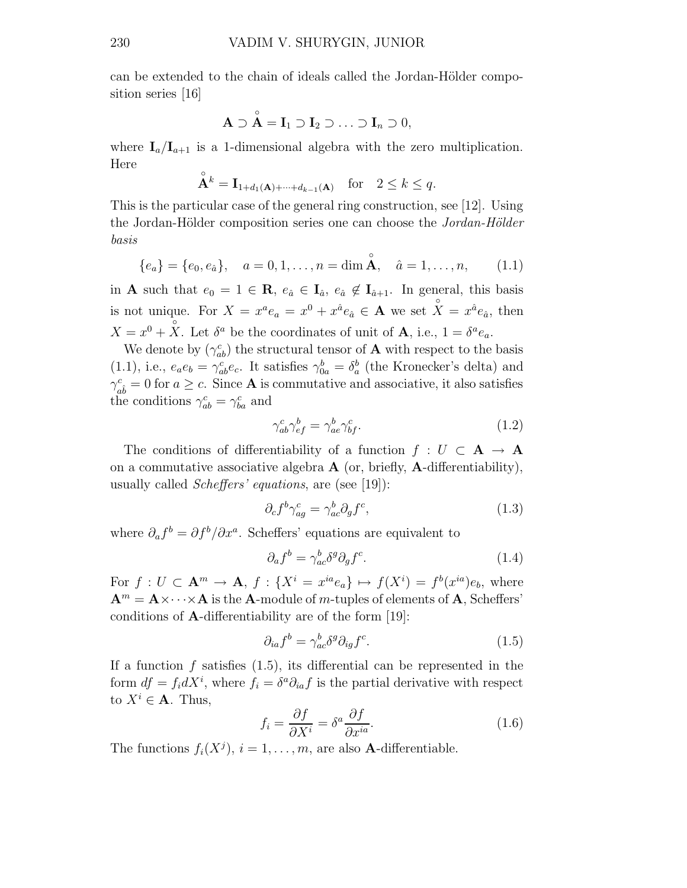can be extended to the chain of ideals called the Jordan-Hölder composition series [16]

$$
\mathbf{A} \supset \overset{\circ}{\mathbf{A}} = \mathbf{I}_1 \supset \mathbf{I}_2 \supset \ldots \supset \mathbf{I}_n \supset 0,
$$

where  $I_a/I_{a+1}$  is a 1-dimensional algebra with the zero multiplication. Here

$$
\mathbf{A}^k = \mathbf{I}_{1+d_1(\mathbf{A})+\cdots+d_{k-1}(\mathbf{A})} \quad \text{for} \quad 2 \le k \le q.
$$

This is the particular case of the general ring construction, see [12]. Using the Jordan-Hölder composition series one can choose the Jordan-Hölder basis

$$
\{e_a\} = \{e_0, e_{\hat{a}}\}, \quad a = 0, 1, \dots, n = \dim \mathring{A}, \quad \hat{a} = 1, \dots, n,
$$
 (1.1)

in **A** such that  $e_0 = 1 \in \mathbb{R}$ ,  $e_{\hat{a}} \in I_{\hat{a}}$ ,  $e_{\hat{a}} \notin I_{\hat{a}+1}$ . In general, this basis is not unique. For  $X = x^a e_a = x^0 + x^{\hat{a}} e_{\hat{a}} \in \mathbf{A}$  we set  $\hat{X} = x^{\hat{a}} e_{\hat{a}}$ , then  $X = x^0 + \overline{X}$ . Let  $\delta^a$  be the coordinates of unit of **A**, i.e.,  $1 = \delta^a e_a$ .

We denote by  $(\gamma_{ab}^c)$  the structural tensor of **A** with respect to the basis (1.1), i.e.,  $e_a e_b = \gamma_{ab}^c e_c$ . It satisfies  $\gamma_{0a}^b = \delta_a^b$  (the Kronecker's delta) and  $\gamma_{a\hat{b}}^c = 0$  for  $a \geq c$ . Since **A** is commutative and associative, it also satisfies the conditions  $\gamma_{ab}^c = \gamma_{ba}^c$  and

$$
\gamma_{ab}^c \gamma_{ef}^b = \gamma_{ae}^b \gamma_{bf}^c.
$$
\n(1.2)

The conditions of differentiability of a function  $f : U \subset A \rightarrow A$ on a commutative associative algebra  $\bf{A}$  (or, briefly,  $\bf{A}$ -differentiability), usually called Scheffers' equations, are (see [19]):

$$
\partial_c f^b \gamma^c_{ag} = \gamma^b_{ac} \partial_g f^c,\tag{1.3}
$$

where  $\partial_a f^b = \partial f^b / \partial x^a$ . Scheffers' equations are equivalent to

$$
\partial_a f^b = \gamma^b_{ac} \delta^g \partial_g f^c. \tag{1.4}
$$

For  $f: U \subset \mathbf{A}^m \to \mathbf{A}, f: \{X^i = x^{ia}e_a\} \mapsto f(X^i) = f^b(x^{ia})e_b$ , where  $A^m = A \times \cdots \times A$  is the A-module of m-tuples of elements of A, Scheffers' conditions of A-differentiability are of the form [19]:

$$
\partial_{ia}f^b = \gamma^b_{ac}\delta^g \partial_{ig}f^c. \tag{1.5}
$$

If a function f satisfies  $(1.5)$ , its differential can be represented in the form  $df = f_i dX^i$ , where  $f_i = \delta^a \partial_{ia} f$  is the partial derivative with respect to  $X^i \in \mathbf{A}$ . Thus,

$$
f_i = \frac{\partial f}{\partial X^i} = \delta^a \frac{\partial f}{\partial x^{ia}}.
$$
\n(1.6)

The functions  $f_i(X^j)$ ,  $i = 1, ..., m$ , are also **A**-differentiable.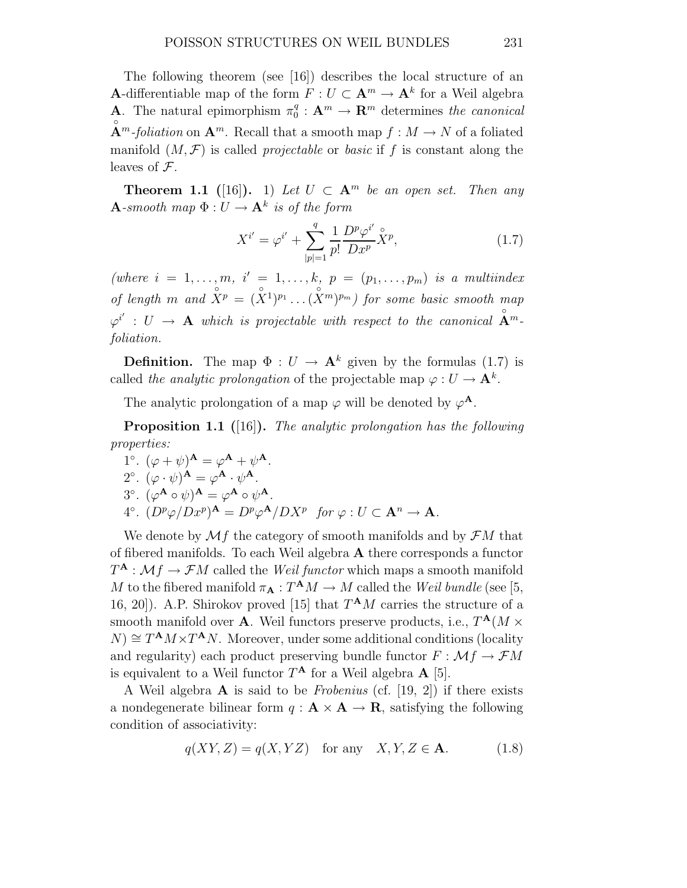The following theorem (see [16]) describes the local structure of an **A**-differentiable map of the form  $F: U \subset \mathbf{A}^m \to \mathbf{A}^k$  for a Weil algebra **A**. The natural epimorphism  $\pi_0^q$  $\mathbf{R}^n \to \mathbf{R}^m$  determines the canonical  $\mathring{A}^m$ -foliation on  $A^m$ . Recall that a smooth map  $f : M \to N$  of a foliated manifold  $(M, \mathcal{F})$  is called *projectable* or *basic* if f is constant along the leaves of  $\mathcal{F}$ .

**Theorem 1.1** ([16]). 1) Let  $U \subset \mathbf{A}^m$  be an open set. Then any  $\mathbf{A}\text{-smooth map }\Phi:U\to \mathbf{A}^k$  is of the form

$$
X^{i'} = \varphi^{i'} + \sum_{|p|=1}^{q} \frac{1}{p!} \frac{D^p \varphi^{i'}}{D x^p} \hat{X}^p, \tag{1.7}
$$

(where  $i = 1, \ldots, m, i' = 1, \ldots, k, p = (p_1, \ldots, p_m)$  is a multiindex of length m and  $\hat{X}^p = (\hat{X}^1)^{p_1} \dots (\hat{X}^m)^{p_m}$  for some basic smooth map  $\varphi^{i'}$  :  $U \rightarrow {\bf A}$  which is projectable with respect to the canonical  $\mathring{{\bf A}}^m$ foliation.

**Definition.** The map  $\Phi: U \to \mathbf{A}^k$  given by the formulas (1.7) is called the analytic prolongation of the projectable map  $\varphi: U \to \mathbf{A}^k$ .

The analytic prolongation of a map  $\varphi$  will be denoted by  $\varphi^{\mathbf{A}}$ .

**Proposition 1.1** ([16]). The analytic prolongation has the following properties:

1°  $(\varphi + \psi)^{\mathbf{A}} = \varphi^{\mathbf{A}} + \psi^{\mathbf{A}}$ . 2°  $(\varphi \cdot \psi)^{\mathbf{A}} = \varphi^{\mathbf{A}} \cdot \psi^{\mathbf{A}}.$ 3°.  $(\varphi^{\mathbf{A}} \circ \psi)^{\mathbf{A}} = \varphi^{\mathbf{A}} \circ \psi^{\mathbf{A}}.$  $4^{\circ}.$   $(D^p \varphi/Dx^p)^{\mathbf{A}} = D^p \varphi^{\mathbf{A}} / DX^p$  for  $\varphi : U \subset \mathbf{A}^n \to \mathbf{A}$ .

We denote by  $\mathcal{M}f$  the category of smooth manifolds and by  $\mathcal{F}M$  that of fibered manifolds. To each Weil algebra A there corresponds a functor  $T^{\mathbf{A}}: \mathcal{M}f \to \mathcal{F}M$  called the *Weil functor* which maps a smooth manifold M to the fibered manifold  $\pi_{\mathbf{A}}: T^{\mathbf{A}}M \to M$  called the Weil bundle (see [5, 16, 20]). A.P. Shirokov proved [15] that  $T^{\mathbf{A}}M$  carries the structure of a smooth manifold over **A**. Weil functors preserve products, i.e.,  $T^{\mathbf{A}}(M \times$  $N) \cong T^{A} M \times T^{A} N$ . Moreover, under some additional conditions (locality and regularity) each product preserving bundle functor  $F : \mathcal{M}f \to \mathcal{F}M$ is equivalent to a Weil functor  $T^{\mathbf{A}}$  for a Weil algebra  $\mathbf{A}$  [5].

A Weil algebra  $\bf{A}$  is said to be *Frobenius* (cf. [19, 2]) if there exists a nondegenerate bilinear form  $q : A \times A \rightarrow \mathbb{R}$ , satisfying the following condition of associativity:

$$
q(XY, Z) = q(X, YZ) \quad \text{for any} \quad X, Y, Z \in \mathbf{A}.\tag{1.8}
$$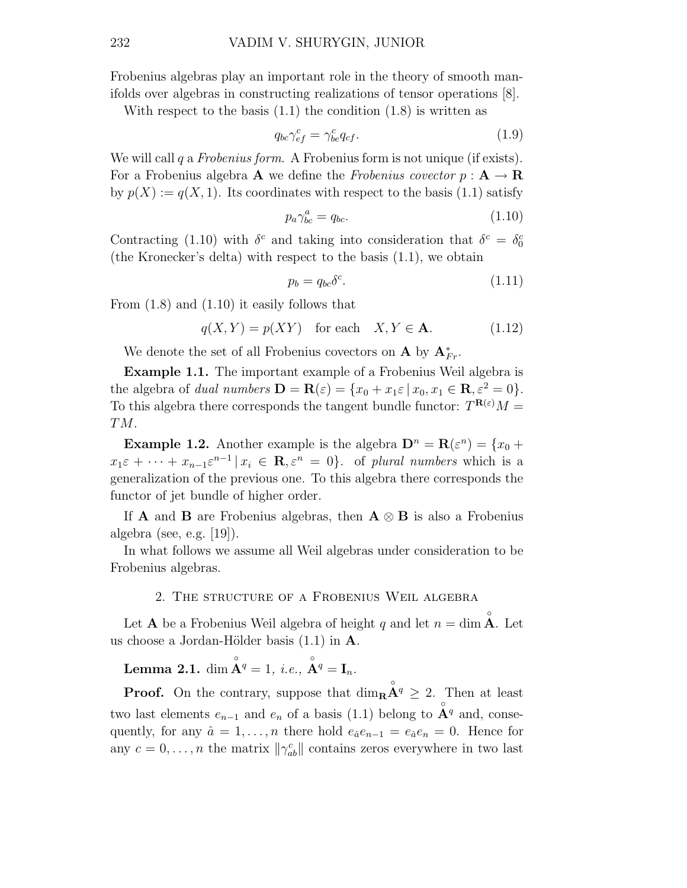Frobenius algebras play an important role in the theory of smooth manifolds over algebras in constructing realizations of tensor operations [8].

With respect to the basis  $(1.1)$  the condition  $(1.8)$  is written as

$$
q_{bc}\gamma_{ef}^c = \gamma_{be}^c q_{cf}.\tag{1.9}
$$

We will call q a Frobenius form. A Frobenius form is not unique (if exists). For a Frobenius algebra **A** we define the Frobenius covector  $p : A \to \mathbf{R}$ by  $p(X) := q(X, 1)$ . Its coordinates with respect to the basis (1.1) satisfy

$$
p_a \gamma_{bc}^a = q_{bc}.\tag{1.10}
$$

Contracting (1.10) with  $\delta^c$  and taking into consideration that  $\delta^c = \delta_0^c$ (the Kronecker's delta) with respect to the basis (1.1), we obtain

$$
p_b = q_{bc} \delta^c. \tag{1.11}
$$

From (1.8) and (1.10) it easily follows that

 $q(X, Y) = p(XY)$  for each  $X, Y \in \mathbf{A}$ . (1.12)

We denote the set of all Frobenius covectors on **A** by  $A_{Fr}^*$ .

Example 1.1. The important example of a Frobenius Weil algebra is the algebra of *dual numbers*  $\mathbf{D} = \mathbf{R}(\varepsilon) = \{x_0 + x_1 \varepsilon \mid x_0, x_1 \in \mathbf{R}, \varepsilon^2 = 0\}.$ To this algebra there corresponds the tangent bundle functor:  $T^{\mathbf{R}(\varepsilon)}M =$ TM.

**Example 1.2.** Another example is the algebra  $\mathbf{D}^n = \mathbf{R}(\varepsilon^n) = \{x_0 + \dots\}$  $x_1 \varepsilon + \cdots + x_{n-1} \varepsilon^{n-1} \, | \, x_i \in \mathbf{R}, \varepsilon^n = 0 \}.$  of plural numbers which is a generalization of the previous one. To this algebra there corresponds the functor of jet bundle of higher order.

If **A** and **B** are Frobenius algebras, then  $A \otimes B$  is also a Frobenius algebra (see, e.g. [19]).

In what follows we assume all Weil algebras under consideration to be Frobenius algebras.

### 2. The structure of a Frobenius Weil algebra

Let **A** be a Frobenius Weil algebra of height q and let  $n = \dim \mathring{A}$ . Let us choose a Jordan-Hölder basis  $(1.1)$  in A.

**Lemma 2.1.** dim  $\overset{\circ}{\mathbf{A}}^q = 1$ , *i.e.*,  $\overset{\circ}{\mathbf{A}}^q = \mathbf{I}_n$ .

**Proof.** On the contrary, suppose that  $\dim_{\mathbf{R}} \mathbf{A}^q \geq 2$ . Then at least two last elements  $e_{n-1}$  and  $e_n$  of a basis (1.1) belong to  $\mathring{A}^q$  and, consequently, for any  $\hat{a} = 1, \ldots, n$  there hold  $e_{\hat{a}}e_{n-1} = e_{\hat{a}}e_n = 0$ . Hence for any  $c = 0, \ldots, n$  the matrix  $\|\gamma_{ab}^c\|$  contains zeros everywhere in two last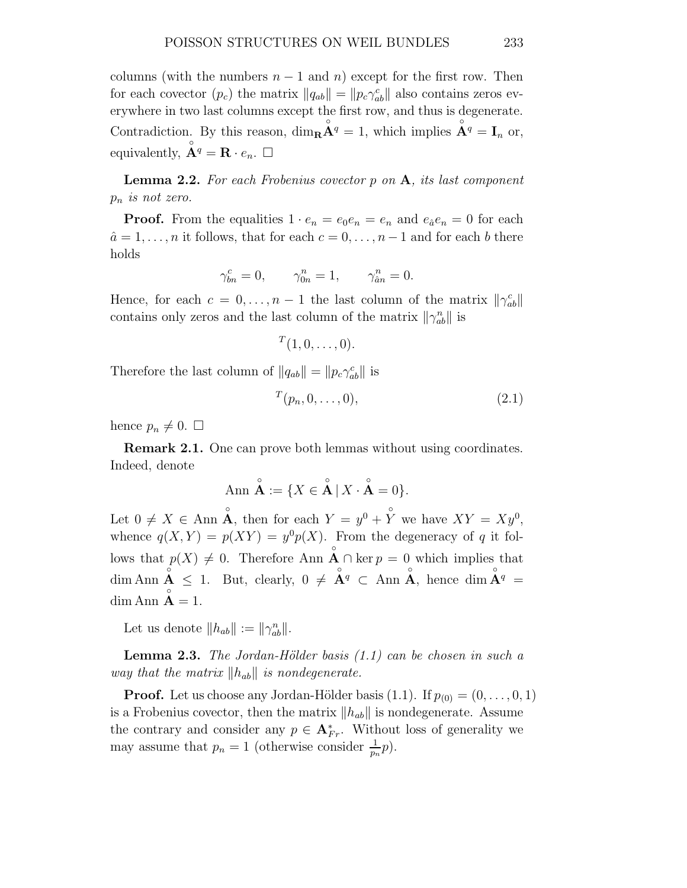columns (with the numbers  $n-1$  and  $n$ ) except for the first row. Then for each covector  $(p_c)$  the matrix  $||q_{ab}|| = ||p_c\gamma_{ab}^c||$  also contains zeros everywhere in two last columns except the first row, and thus is degenerate. Contradiction. By this reason,  $\dim_{\mathbf{R}} \mathbf{A}^q = 1$ , which implies  $\mathbf{A}^q = \mathbf{I}_n$  or, equivalently,  $\mathring{A}^q = \mathbf{R} \cdot e_n$ .  $\Box$ 

Lemma 2.2. For each Frobenius covector p on A, its last component  $p_n$  is not zero.

**Proof.** From the equalities  $1 \cdot e_n = e_0 e_n = e_n$  and  $e_{\hat{a}} e_n = 0$  for each  $\hat{a} = 1, \ldots, n$  it follows, that for each  $c = 0, \ldots, n-1$  and for each b there holds

$$
\gamma_{bn}^c = 0, \qquad \gamma_{0n}^n = 1, \qquad \gamma_{\hat{a}n}^n = 0.
$$

Hence, for each  $c = 0, \ldots, n-1$  the last column of the matrix  $\|\gamma_{ab}^c\|$ contains only zeros and the last column of the matrix  $\|\gamma_{ab}^n\|$  is

```
T(1,0,\ldots,0).
```
Therefore the last column of  $||q_{ab}|| = ||p_c \gamma_{ab}^c||$  is

$$
^{T}(p_n,0,\ldots,0),\t\t(2.1)
$$

hence  $p_n \neq 0$ .  $\Box$ 

Remark 2.1. One can prove both lemmas without using coordinates. Indeed, denote

$$
\text{Ann } \overset{\circ}{\mathbf{A}} := \{ X \in \overset{\circ}{\mathbf{A}} \mid X \cdot \overset{\circ}{\mathbf{A}} = 0 \}.
$$

Let  $0 \neq X \in \text{Ann } \overset{\circ}{\mathbf{A}}, \text{ then for each } Y = y^0 + \overset{\circ}{Y} \text{ we have } XY = Xy^0,$ whence  $q(X,Y) = p(XY) = y^0 p(X)$ . From the degeneracy of q it follows that  $p(X) \neq 0$ . Therefore Ann  $\mathop{\rm A}\limits^{\circ} \cap \ker p = 0$  which implies that dim Ann  $\mathring{A} \leq 1$ . But, clearly,  $0 \neq \mathring{A}^q \subset \text{Ann } \mathring{A}$ , hence dim  $\mathring{A}^q =$  $\dim \text{Ann } \mathbf{A} = 1.$ 

Let us denote  $||h_{ab}|| := ||\gamma_{ab}^n||.$ 

**Lemma 2.3.** The Jordan-Hölder basis  $(1.1)$  can be chosen in such a way that the matrix  $\|h_{ab}\|$  is nondegenerate.

**Proof.** Let us choose any Jordan-Hölder basis  $(1.1)$ . If  $p_{(0)} = (0, \ldots, 0, 1)$ is a Frobenius covector, then the matrix  $||h_{ab}||$  is nondegenerate. Assume the contrary and consider any  $p \in \mathbf{A}_{Fr}^*$ . Without loss of generality we may assume that  $p_n = 1$  (otherwise consider  $\frac{1}{p_n}p$ ).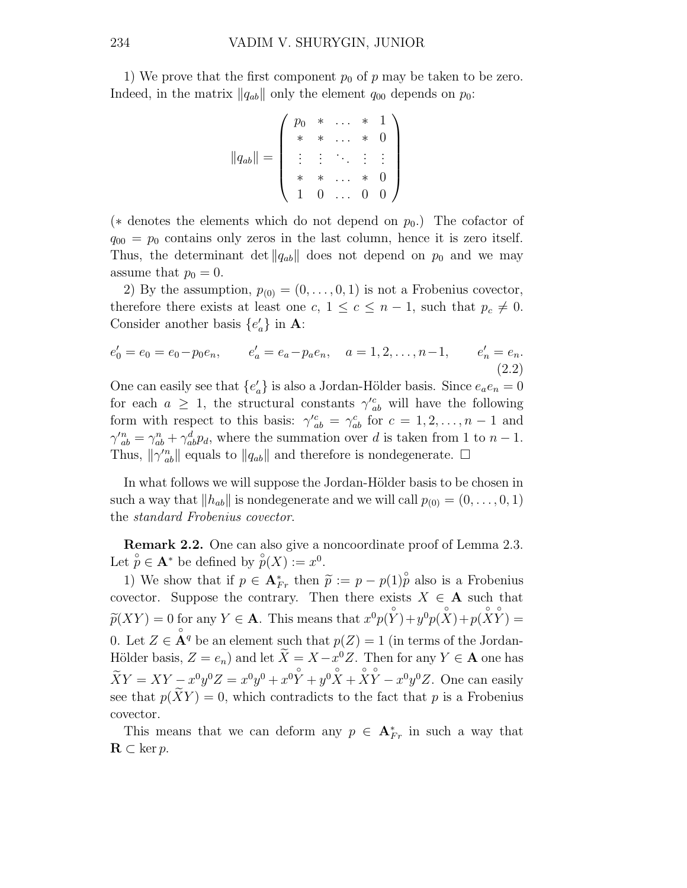1) We prove that the first component  $p_0$  of p may be taken to be zero. Indeed, in the matrix  $\|q_{ab}\|$  only the element  $q_{00}$  depends on  $p_0$ :

$$
||q_{ab}|| = \left(\begin{array}{cccc} p_0 & * & \dots & * & 1 \\ * & * & \dots & * & 0 \\ \vdots & \vdots & \ddots & \vdots & \vdots \\ * & * & \dots & * & 0 \\ 1 & 0 & \dots & 0 & 0 \end{array}\right)
$$

( $*$  denotes the elements which do not depend on  $p_0$ .) The cofactor of  $q_{00} = p_0$  contains only zeros in the last column, hence it is zero itself. Thus, the determinant det  $||q_{ab}||$  does not depend on  $p_0$  and we may assume that  $p_0 = 0$ .

2) By the assumption,  $p_{(0)} = (0, \ldots, 0, 1)$  is not a Frobenius covector, therefore there exists at least one c,  $1 \leq c \leq n-1$ , such that  $p_c \neq 0$ . Consider another basis  $\{e'_a\}$  in **A**:

$$
e'_0 = e_0 = e_0 - p_0 e_n, \t e'_a = e_a - p_a e_n, \t a = 1, 2, \dots, n-1, \t e'_n = e_n.
$$
\n(2.2)

One can easily see that  $\{e'_a\}$  is also a Jordan-Hölder basis. Since  $e_a e_n = 0$ for each  $a \geq 1$ , the structural constants  $\gamma_{ab}^{\prime c}$  will have the following form with respect to this basis:  $\gamma_{ab}^c = \gamma_{ab}^c$  for  $c = 1, 2, ..., n - 1$  and  $\gamma_{ab}^{\prime n} = \gamma_{ab}^n + \gamma_{ab}^d p_d$ , where the summation over d is taken from 1 to  $n-1$ . Thus,  $\|\gamma^n_{ab}\|$  equals to  $\|q_{ab}\|$  and therefore is nondegenerate.  $\square$ 

In what follows we will suppose the Jordan-Hölder basis to be chosen in such a way that  $||h_{ab}||$  is nondegenerate and we will call  $p_{(0)} = (0, \ldots, 0, 1)$ the standard Frobenius covector.

Remark 2.2. One can also give a noncoordinate proof of Lemma 2.3. Let  $\stackrel{\circ}{p} \in \mathbf{A}^*$  be defined by  $\stackrel{\circ}{p}(X) := x^0$ .

1) We show that if  $p \in \mathbf{A}_{Fr}^*$  then  $\widetilde{p} := p - p(1) \widetilde{p}$  also is a Frobenius covector. Suppose the contrary. Then there exists  $X \in A$  such that  $\widetilde{p}(XY) = 0$  for any  $Y \in \mathbf{A}$ . This means that  $x^0 p(\overset{\circ}{Y}) + y^0 p(\overset{\circ}{X}) + p(\overset{\circ}{X}\overset{\circ}{Y}) =$ 0. Let  $Z \in \mathring{A}^q$  be an element such that  $p(Z) = 1$  (in terms of the Jordan-Hölder basis,  $Z = e_n$ ) and let  $\tilde{X} = X - x^0 Z$ . Then for any  $Y \in \mathbf{A}$  one has  $\widetilde{X}Y = XY - x^0y^0Z = x^0y^0 + x^0Y + y^0X + XY - x^0y^0Z$ . One can easily see that  $p(XY) = 0$ , which contradicts to the fact that p is a Frobenius covector.

This means that we can deform any  $p \in \mathbf{A}_{Fr}^*$  in such a way that  $\mathbf{R} \subset \text{ker } p$ .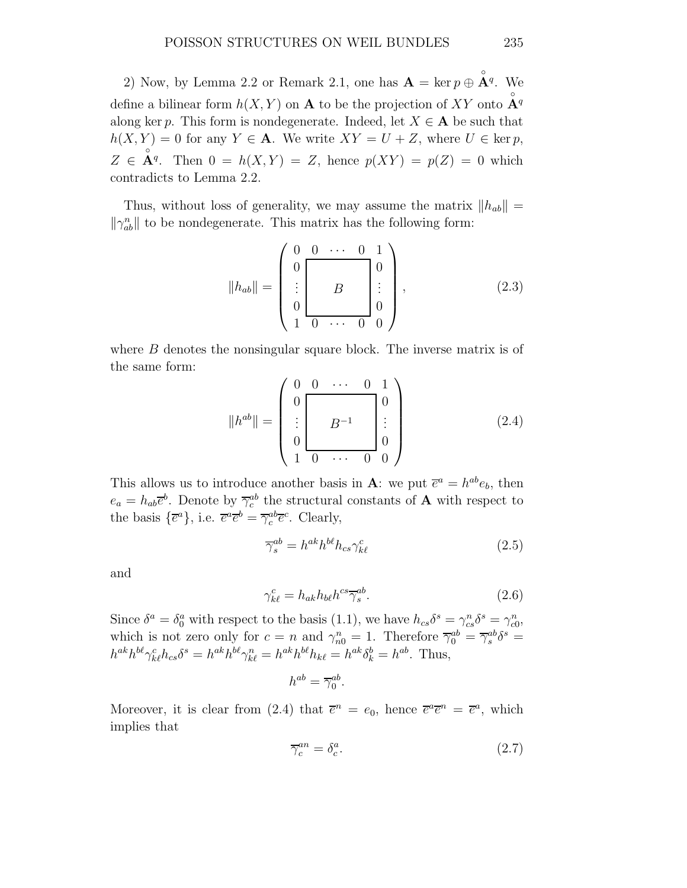2) Now, by Lemma 2.2 or Remark 2.1, one has  $\mathbf{A} = \ker p \oplus \mathbf{A}^q$ . We define a bilinear form  $h(X, Y)$  on **A** to be the projection of XY onto  $\mathring{A}^q$ along ker p. This form is nondegenerate. Indeed, let  $X \in \mathbf{A}$  be such that  $h(X, Y) = 0$  for any  $Y \in \mathbf{A}$ . We write  $XY = U + Z$ , where  $U \in \text{ker } p$ ,  $Z \in \overset{\circ}{\mathbf{A}}^q$ . Then  $0 = h(X, Y) = Z$ , hence  $p(XY) = p(Z) = 0$  which contradicts to Lemma 2.2.

Thus, without loss of generality, we may assume the matrix  $||h_{ab}|| =$  $\|\gamma_{ab}^n\|$  to be nondegenerate. This matrix has the following form:

$$
||h_{ab}|| = \begin{pmatrix} 0 & 0 & \cdots & 0 & 1 \\ 0 & & & & 0 \\ \vdots & & & & 0 \\ 0 & & & & 0 \\ 1 & 0 & \cdots & 0 & 0 \end{pmatrix}, \qquad (2.3)
$$

where  $B$  denotes the nonsingular square block. The inverse matrix is of the same form:

$$
||h^{ab}|| = \begin{pmatrix} 0 & 0 & \cdots & 0 & 1 \\ 0 & & & & \\ \vdots & & & & \\ 0 & & & & \\ 1 & 0 & \cdots & 0 & 0 \end{pmatrix}
$$
 (2.4)

This allows us to introduce another basis in **A**: we put  $\bar{e}^a = h^{ab}e_b$ , then  $e_a = h_{ab}\overline{e}^b$ . Denote by  $\overline{\gamma}_c^{ab}$  the structural constants of **A** with respect to the basis  $\{\overline{e}^a\}$ , i.e.  $\overline{e}^a \overline{e}^b = \overline{\gamma}_c^{ab} \overline{e}^c$ . Clearly,

$$
\overline{\gamma}_s^{ab} = h^{ak} h^{b\ell} h_{cs} \gamma_{k\ell}^c \tag{2.5}
$$

and

$$
\gamma_{k\ell}^c = h_{ak} h_{b\ell} h^{cs} \overline{\gamma}_s^{ab}.\tag{2.6}
$$

Since  $\delta^a = \delta^a_0$  with respect to the basis (1.1), we have  $h_{cs}\delta^s = \gamma^n_{cs}\delta^s = \gamma^n_{c0}$ , which is not zero only for  $c = n$  and  $\gamma_{n0}^n = 1$ . Therefore  $\overline{\gamma}_0^{ab} = \overline{\gamma}_s^{ab} \delta^s =$  $h^{ak}h^{b\ell}\gamma_{k\ell}^c h_{cs}\delta^s = h^{ak}h^{b\ell}\gamma_{k\ell}^n = h^{ak}h^{b\ell}h_{k\ell} = h^{ak}\delta^b_k = h^{ab}.$  Thus,

$$
h^{ab} = \overline{\gamma}_0^{ab}.
$$

Moreover, it is clear from (2.4) that  $\bar{e}^n = e_0$ , hence  $\bar{e}^a \bar{e}^n = \bar{e}^a$ , which implies that

$$
\overline{\gamma}_c^{an} = \delta_c^a. \tag{2.7}
$$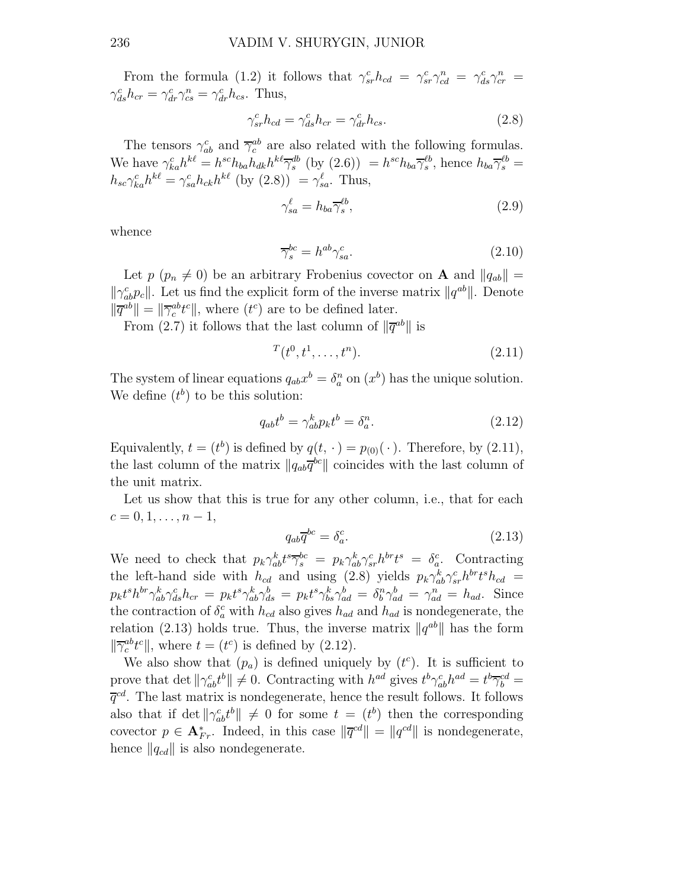From the formula (1.2) it follows that  $\gamma_{sr}^c h_{cd} = \gamma_{sr}^c \gamma_{cd}^n = \gamma_{ds}^c \gamma_{cr}^n =$  $\gamma_{ds}^c h_{cr} = \gamma_{dr}^c \gamma_{cs}^n = \gamma_{dr}^c h_{cs}$ . Thus,

$$
\gamma_{sr}^c h_{cd} = \gamma_{ds}^c h_{cr} = \gamma_{dr}^c h_{cs}.
$$
\n(2.8)

The tensors  $\gamma_{ab}^c$  and  $\overline{\gamma}_c^{ab}$  are also related with the following formulas. We have  $\gamma_{ka}^c h^{k\ell} = h^{sc} h_{ba} h_{dk} h^{k\ell} \overline{\gamma}_s^{db}$  (by (2.6))  $= h^{sc} h_{ba} \overline{\gamma}_s^{\ell b}$ , hence  $h_{ba} \overline{\gamma}_s^{\ell b} =$  $h_{sc}\gamma_{ka}^c h^{k\ell} = \gamma_{sa}^c h_{ck} h^{k\ell}$  (by  $(2.8)$ ) =  $\gamma_{sa}^{\ell}$ . Thus,

$$
\gamma_{sa}^{\ell} = h_{ba} \overline{\gamma}_s^{\ell b},\tag{2.9}
$$

whence

$$
\overline{\gamma}_s^{bc} = h^{ab} \gamma_{sa}^c.
$$
\n(2.10)

Let  $p \ (p_n \neq 0)$  be an arbitrary Frobenius covector on **A** and  $||q_{ab}|| =$  $\|\gamma_{ab}^c p_c\|$ . Let us find the explicit form of the inverse matrix  $\|q^{ab}\|$ . Denote  $\|\overline{q}^{ab}\| = \|\overline{\gamma}_c^{ab} t^c\|$ , where  $(t^c)$  are to be defined later.

From (2.7) it follows that the last column of  $\|\overline{q}^{ab}\|$  is

$$
T(t^0, t^1, \dots, t^n). \tag{2.11}
$$

The system of linear equations  $q_{ab}x^b = \delta_a^n$  on  $(x^b)$  has the unique solution. We define  $(t^b)$  to be this solution:

$$
q_{ab}t^b = \gamma^k_{ab}p_k t^b = \delta^n_a. \tag{2.12}
$$

Equivalently,  $t = (t^b)$  is defined by  $q(t, \cdot) = p_{(0)}(\cdot)$ . Therefore, by (2.11), the last column of the matrix  $||q_{ab}\overline{q}^{bc}||$  coincides with the last column of the unit matrix.

Let us show that this is true for any other column, i.e., that for each  $c = 0, 1, \ldots, n - 1,$ 

$$
q_{ab}\overline{q}^{bc} = \delta_a^c. \tag{2.13}
$$

We need to check that  $p_k \gamma_{ab}^k t^s \overline{\gamma}_s^{bc} = p_k \gamma_{ab}^k \gamma_{sr}^c h^{br} t^s = \delta_a^c$ . Contracting the left-hand side with  $h_{cd}$  and using (2.8) yields  $p_k \gamma_{ab}^k \gamma_{sr}^c h^{br} t^s h_{cd}$  $p_k t^s h^{br} \gamma_{ab}^k \gamma_{ds}^c h_{cr} = p_k t^s \gamma_{ab}^k \gamma_{ds}^b = p_k t^s \gamma_{ba}^k \gamma_{ad}^b = \delta_b^n \gamma_{ad}^b = \gamma_{ad}^n = h_{ad}$ . Since the contraction of  $\delta_a^c$  with  $h_{cd}$  also gives  $h_{ad}$  and  $h_{ad}$  is nondegenerate, the relation (2.13) holds true. Thus, the inverse matrix  $\|q^{ab}\|$  has the form  $\|\overline{\gamma}_c^{ab}t^c\|$ , where  $t = (t^c)$  is defined by (2.12).

We also show that  $(p_a)$  is defined uniquely by  $(t<sup>c</sup>)$ . It is sufficient to prove that det  $\|\gamma_{ab}^c t^b\| \neq 0$ . Contracting with  $h^{ad}$  gives  $t^b \gamma_{ab}^c h^{ad} = t^b \overline{\gamma}_b^{cd} =$  $\overline{q}^{cd}$ . The last matrix is nondegenerate, hence the result follows. It follows also that if det  $\|\gamma_{ab}^c t^b\| \neq 0$  for some  $t = (t^b)$  then the corresponding covector  $p \in \mathbf{A}_{Fr}^*$ . Indeed, in this case  $\|\overline{q}^{cd}\| = \|q^{cd}\|$  is nondegenerate, hence  $\|q_{cd}\|$  is also nondegenerate.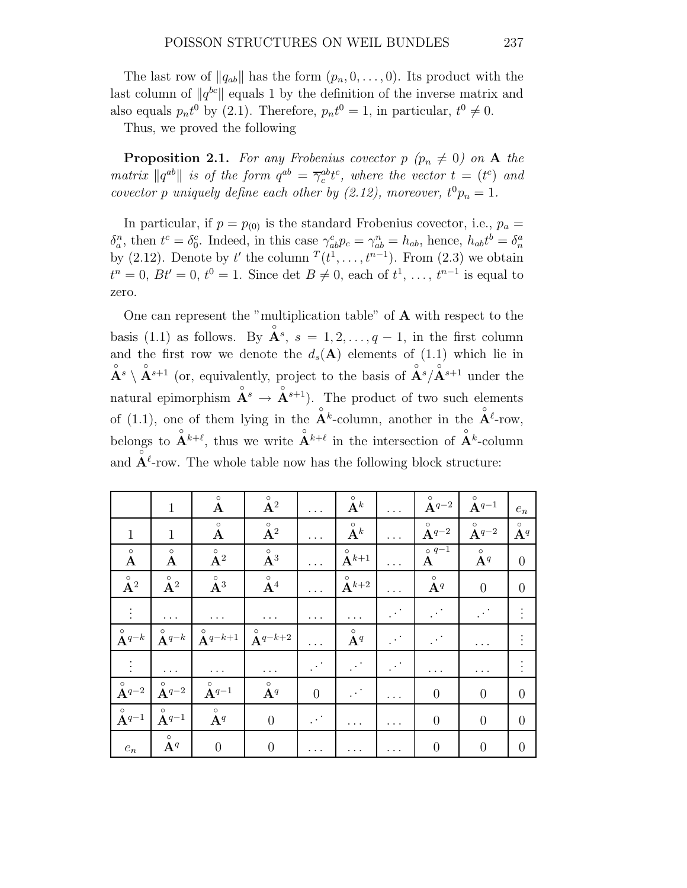The last row of  $||q_{ab}||$  has the form  $(p_n, 0, \ldots, 0)$ . Its product with the last column of  $||q^{bc}||$  equals 1 by the definition of the inverse matrix and also equals  $p_n t^0$  by (2.1). Therefore,  $p_n t^0 = 1$ , in particular,  $t^0 \neq 0$ .

Thus, we proved the following

**Proposition 2.1.** For any Frobenius covector  $p$  ( $p_n \neq 0$ ) on A the matrix  $\|q^{ab}\|$  is of the form  $q^{ab} = \overline{\gamma}_c^{ab} t^c$ , where the vector  $t = (t^c)$  and covector p uniquely define each other by (2.12), moreover,  $t^0 p_n = 1$ .

In particular, if  $p = p_{(0)}$  is the standard Frobenius covector, i.e.,  $p_a =$  $\delta_a^n$ , then  $t^c = \delta_0^c$ . Indeed, in this case  $\gamma_{ab}^c p_c = \gamma_{ab}^n = h_{ab}$ , hence,  $h_{ab}t^b = \delta_n^a$ by (2.12). Denote by t' the column  $T(t^1, \ldots, t^{n-1})$ . From (2.3) we obtain  $t^{n} = 0, Bt' = 0, t^{0} = 1.$  Since det  $B \neq 0$ , each of  $t^{1}, \ldots, t^{n-1}$  is equal to zero.

One can represent the "multiplication table" of A with respect to the basis (1.1) as follows. By  $\mathbf{A}^s$ ,  $s = 1, 2, ..., q - 1$ , in the first column and the first row we denote the  $d_s(A)$  elements of (1.1) which lie in  $\mathring{A}^s \setminus \mathring{A}^{s+1}$  (or, equivalently, project to the basis of  $\mathring{A}^s / \mathring{A}^{s+1}$  under the natural epimorphism  $\mathbf{A}^s \to \mathbf{A}^{s+1}$ . The product of two such elements of (1.1), one of them lying in the  $\mathbf{A}^k$ -column, another in the  $\mathbf{A}^{\ell}$ -row, belongs to  $\mathbf{A}^{k+\ell}$ , thus we write  $\mathbf{A}^{k+\ell}$  in the intersection of  $\mathbf{A}^{k}$ -column and  $\tilde{A}^{\ell}$ -row. The whole table now has the following block structure:

|                                       | $\mathbf{1}$                      | $\circ$<br>A                                        | $\circ$<br>${\bf A}^2$    | $\cdots$             | $\circ$<br>$\mathbf{A}^k$             | $\cdots$       | $\circ$<br>${\bf A}^{q-2}$              | $\circ$<br>${\bf A}^{q-1}$ | $e_n$                  |
|---------------------------------------|-----------------------------------|-----------------------------------------------------|---------------------------|----------------------|---------------------------------------|----------------|-----------------------------------------|----------------------------|------------------------|
| $\mathbf{1}$                          | $\mathbf{1}$                      | $\circ$<br>$\mathbf A$                              | $\circ$<br>$\mathbf{A}^2$ |                      | $\circ$<br>$\check{\mathbf{A}}^k$     | $\cdots$       | $\circ$<br>${\bf A}^{q-2}$              | $\circ$<br>${\bf A}^{q-2}$ | $\circ$<br>${\bf A}^q$ |
| $\circ$<br>$\mathbf{A}$               | $\circ$<br>$\bf A$                | $\overset{\circ}{\mathbf{A}}{}^2$                   | $\circ$<br>$\AA^3$        |                      | $\circ$<br>$\tilde{\mathbf{A}}^{k+1}$ | $\cdots$       | $\circ$ $q-\overline{1}$<br>$\mathbf A$ | $\circ$<br>${\bf A}^q$     | $\overline{0}$         |
| $\circ$<br>$\AA^2$                    | $\overset{\circ}{\mathbf{A}}{}^2$ | $\overset{\circ}{\mathbf{A}}{}^3$                   | $\circ$<br>$\mathbf{A}^4$ |                      | $\circ$<br>$\mathbf{A}^{k+2}$         | $\cdots$       | $\circ$<br>${\bf A}^q$                  | $\overline{0}$             | $\theta$               |
| $\vdots$                              | $\cdots$                          | $\cdots$                                            | $\cdots$                  | $\cdots$             |                                       |                |                                         |                            |                        |
| $\circ$<br>$\tilde{\mathbf{A}}^{q-k}$ | $\circ$<br>${\bf A}^{q-k}$        | $A^{q-k+1}$                                         | $\circ$<br>$A^{q-k+2}$    | $\cdots$             | $\circ$<br>${\bf A}^q$                | $\mathbb{R}^3$ | $\mathbb{R}^{\mathbb{Z}^2}$             | .                          |                        |
|                                       | $\cdots$                          | $\cdots$                                            | $\cdots$                  |                      |                                       |                | .                                       | .                          |                        |
| $\circ$<br>${\bf A}^{q-2}$            | $\circ$<br>${\bf A}^{q-2}$        | $\overset{\circ}{\mathbf{A}}$ <sup><i>q</i>-1</sup> | $\circ$<br>${\bf A}^q$    | $\overline{0}$       | $\mathbb{R}^{2n}$                     | $\cdots$       | $\overline{0}$                          | $\overline{0}$             | $\theta$               |
| $\circ$<br>${\bf A}^{q-1}$            | $\circ$<br>${\bf A}^{q-1}$        | $\circ$<br>$A^q$                                    | $\overline{0}$            | $\ddot{\phantom{a}}$ | .                                     | .              | $\overline{0}$                          | $\overline{0}$             | $\theta$               |
| $e_n$                                 | $\circ$<br>${\bf A}^q$            | $\overline{0}$                                      | $\overline{0}$            |                      |                                       |                | $\overline{0}$                          | $\overline{0}$             | $\theta$               |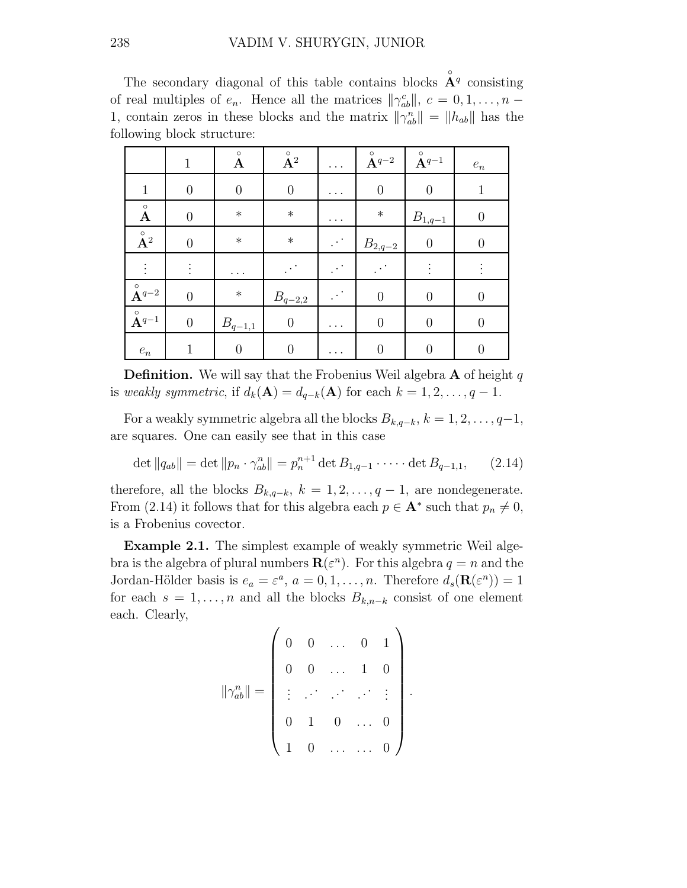The secondary diagonal of this table contains blocks  $\mathring{A}^q$  consisting of real multiples of  $e_n$ . Hence all the matrices  $\|\gamma_{ab}^c\|, c = 0, 1, \ldots, n -$ 1, contain zeros in these blocks and the matrix  $\|\gamma_{ab}^n\| = \|h_{ab}\|$  has the following block structure:

|                                            | 1              | $\circ$<br>$\mathbf A$ | $\stackrel{\circ}{\mathbf{A}}{}^2$ | $\cdots$ | $\overset{\circ}{\mathbf{A}}\!\!\!\!\phantom{1}^{q-2}$ | $\overset{\circ}{\mathbf{A}}$ <sup><i>q</i>-1</sup> | $\boldsymbol{e}_n$ |
|--------------------------------------------|----------------|------------------------|------------------------------------|----------|--------------------------------------------------------|-----------------------------------------------------|--------------------|
| $\mathbf{1}$                               | $\theta$       | $\boldsymbol{0}$       | $\boldsymbol{0}$                   | .        | $\boldsymbol{0}$                                       | $\overline{0}$                                      | $\mathbf 1$        |
| $\overset{\circ}{\mathbf{A}}$              | $\overline{0}$ | $\ast$                 | $\ast$                             | $\cdots$ | $\ast$                                                 | $B_{\underline{1},\underline{q-1}}$                 | $\overline{0}$     |
| $\overset{\circ}{\mathbf{A}}{}^2$          | $\overline{0}$ | $\ast$                 | $\ast$                             |          | $B_{2,\underline{q-2}}$                                | $\overline{0}$                                      | $\overline{0}$     |
|                                            | $\vdots$       |                        |                                    |          |                                                        | $\vdots$                                            |                    |
| $\stackrel{\circ}{\mathbf{A}}\!\!{}^{q-2}$ | $\overline{0}$ | $\ast$                 | $B_{\underline{q-2,2}}$            |          | $\theta$                                               | $\overline{0}$                                      | $\overline{0}$     |
| $\stackrel{\circ}{\mathbf{A}}\!\!{}^{q-1}$ | $\theta$       | $B_{q-1,1}$            | $\boldsymbol{0}$                   | $\cdots$ | $\theta$                                               | $\theta$                                            | 0                  |
| $\boldsymbol{e}_n$                         |                | 0                      | $\overline{0}$                     |          | $\overline{0}$                                         | $\overline{0}$                                      | $\overline{0}$     |

**Definition.** We will say that the Frobenius Weil algebra  $\bf{A}$  of height q is weakly symmetric, if  $d_k(\mathbf{A}) = d_{q-k}(\mathbf{A})$  for each  $k = 1, 2, \ldots, q - 1$ .

For a weakly symmetric algebra all the blocks  $B_{k,q-k}, k = 1, 2, \ldots, q-1$ , are squares. One can easily see that in this case

$$
\det ||q_{ab}|| = \det ||p_n \cdot \gamma_{ab}^n|| = p_n^{n+1} \det B_{1,q-1} \cdot \dots \cdot \det B_{q-1,1}, \qquad (2.14)
$$

therefore, all the blocks  $B_{k,q-k}$ ,  $k = 1, 2, \ldots, q-1$ , are nondegenerate. From (2.14) it follows that for this algebra each  $p \in \mathbf{A}^*$  such that  $p_n \neq 0$ , is a Frobenius covector.

Example 2.1. The simplest example of weakly symmetric Weil algebra is the algebra of plural numbers  $\mathbf{R}(\varepsilon^n)$ . For this algebra  $q = n$  and the Jordan-Hölder basis is  $e_a = \varepsilon^a$ ,  $a = 0, 1, ..., n$ . Therefore  $d_s(\mathbf{R}(\varepsilon^n)) = 1$ for each  $s = 1, \ldots, n$  and all the blocks  $B_{k,n-k}$  consist of one element each. Clearly,

$$
\|\gamma_{ab}^n\| = \left(\begin{array}{cccccc} 0 & 0 & \dots & 0 & 1 \\ 0 & 0 & \dots & 1 & 0 \\ \vdots & \ddots & \ddots & \ddots & \vdots \\ 0 & 1 & 0 & \dots & 0 \\ 1 & 0 & \dots & \dots & 0 \end{array}\right).
$$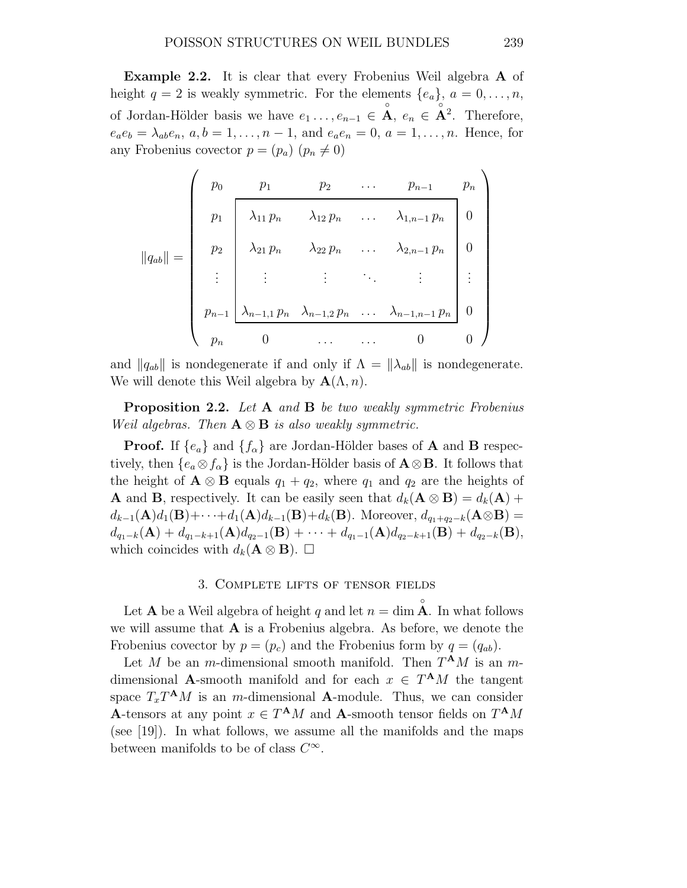Example 2.2. It is clear that every Frobenius Weil algebra A of height  $q = 2$  is weakly symmetric. For the elements  $\{e_a\}, a = 0, \ldots, n$ , of Jordan-Hölder basis we have  $e_1 \ldots, e_{n-1} \in \mathring{A}$ ,  $e_n \in \mathring{A}^2$ . Therefore,  $e_a e_b = \lambda_{ab} e_n, a, b = 1, \ldots, n-1$ , and  $e_a e_n = 0, a = 1, \ldots, n$ . Hence, for any Frobenius covector  $p = (p_a)$   $(p_n \neq 0)$ 

$$
||q_{ab}|| = \begin{pmatrix} p_0 & p_1 & p_2 & \dots & p_{n-1} & p_n \\ p_1 & \lambda_{11} p_n & \lambda_{12} p_n & \dots & \lambda_{1,n-1} p_n & 0 \\ p_2 & \lambda_{21} p_n & \lambda_{22} p_n & \dots & \lambda_{2,n-1} p_n & 0 \\ \vdots & \vdots & \vdots & \ddots & \vdots & \vdots \\ p_{n-1} & \lambda_{n-1,1} p_n & \lambda_{n-1,2} p_n & \dots & \lambda_{n-1,n-1} p_n & 0 \\ p_n & 0 & \dots & \dots & 0 & 0 \end{pmatrix}
$$

and  $\|q_{ab}\|$  is nondegenerate if and only if  $\Lambda = \|\lambda_{ab}\|$  is nondegenerate. We will denote this Weil algebra by  $\mathbf{A}(\Lambda,n)$ .

**Proposition 2.2.** Let  $A$  and  $B$  be two weakly symmetric Frobenius Weil algebras. Then  $A \otimes B$  is also weakly symmetric.

**Proof.** If  $\{e_a\}$  and  $\{f_\alpha\}$  are Jordan-Hölder bases of **A** and **B** respectively, then  $\{e_a \otimes f_\alpha\}$  is the Jordan-Hölder basis of  $\mathbf{A} \otimes \mathbf{B}$ . It follows that the height of  $\mathbf{A} \otimes \mathbf{B}$  equals  $q_1 + q_2$ , where  $q_1$  and  $q_2$  are the heights of **A** and **B**, respectively. It can be easily seen that  $d_k(\mathbf{A} \otimes \mathbf{B}) = d_k(\mathbf{A}) +$  $d_{k-1}(\mathbf{A})d_1(\mathbf{B})+\cdots+d_1(\mathbf{A})d_{k-1}(\mathbf{B})+d_k(\mathbf{B})$ . Moreover,  $d_{q_1+q_2-k}(\mathbf{A}\otimes\mathbf{B})=$  $d_{q_1-k}(\mathbf{A}) + d_{q_1-k+1}(\mathbf{A})d_{q_2-1}(\mathbf{B}) + \cdots + d_{q_1-1}(\mathbf{A})d_{q_2-k+1}(\mathbf{B}) + d_{q_2-k}(\mathbf{B}),$ which coincides with  $d_k(\mathbf{A} \otimes \mathbf{B})$ .  $\Box$ 

### 3. Complete lifts of tensor fields

Let  ${\bf A}$  be a Weil algebra of height  $q$  and let  $n = \dim \overset{\circ}{\bf A}$ . In what follows we will assume that  $A$  is a Frobenius algebra. As before, we denote the Frobenius covector by  $p = (p_c)$  and the Frobenius form by  $q = (q_{ab})$ .

Let M be an m-dimensional smooth manifold. Then  $T^{\mathbf{A}}M$  is an mdimensional **A**-smooth manifold and for each  $x \in T^{\mathbf{A}}M$  the tangent space  $T_x T^{\mathbf{A}} M$  is an m-dimensional **A**-module. Thus, we can consider A-tensors at any point  $x \in T^{\mathbf{A}}M$  and A-smooth tensor fields on  $T^{\mathbf{A}}M$ (see [19]). In what follows, we assume all the manifolds and the maps between manifolds to be of class  $C^{\infty}$ .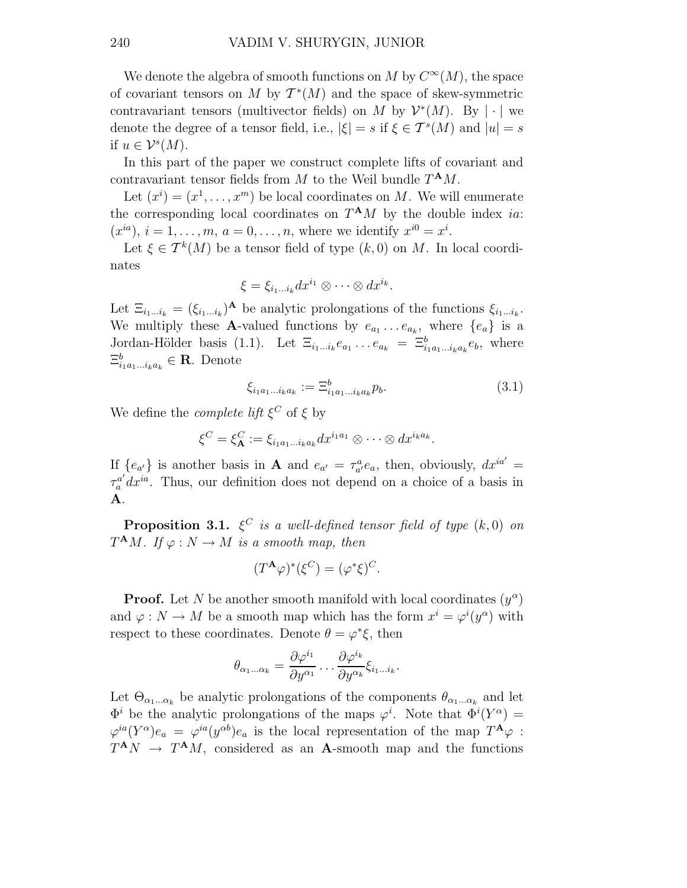We denote the algebra of smooth functions on M by  $C^{\infty}(M)$ , the space of covariant tensors on M by  $T^*(M)$  and the space of skew-symmetric contravariant tensors (multivector fields) on M by  $\mathcal{V}^*(M)$ . By  $|\cdot|$  we denote the degree of a tensor field, i.e.,  $|\xi| = s$  if  $\xi \in \mathcal{T}^s(M)$  and  $|u| = s$ if  $u \in \mathcal{V}^s(M)$ .

In this part of the paper we construct complete lifts of covariant and contravariant tensor fields from  $M$  to the Weil bundle  $T^{\mathbf{A}}M$ .

Let  $(x^{i}) = (x^{1}, \ldots, x^{m})$  be local coordinates on M. We will enumerate the corresponding local coordinates on  $T^{\mathbf{A}}M$  by the double index *ia*:  $(x^{ia}), i = 1, \ldots, m, a = 0, \ldots, n$ , where we identify  $x^{i0} = x^i$ .

Let  $\xi \in \mathcal{T}^k(M)$  be a tensor field of type  $(k,0)$  on M. In local coordinates

$$
\xi = \xi_{i_1...i_k} dx^{i_1} \otimes \cdots \otimes dx^{i_k}.
$$

Let  $\Xi_{i_1...i_k} = (\xi_{i_1...i_k})^{\mathbf{A}}$  be analytic prolongations of the functions  $\xi_{i_1...i_k}$ . We multiply these **A**-valued functions by  $e_{a_1} \ldots e_{a_k}$ , where  $\{e_a\}$  is a Jordan-Hölder basis (1.1). Let  $\Xi_{i_1...i_k}e_{a_1} \dots e_{a_k} = \Xi_{i_1a_1...i_ka_k}^b e_b$ , where  $\Xi_{i_1a_1...i_ka_k}^b \in \mathbf{R}$ . Denote

$$
\xi_{i_1 a_1 \dots i_k a_k} := \Xi_{i_1 a_1 \dots i_k a_k}^b p_b. \tag{3.1}
$$

We define the *complete lift*  $\xi^C$  of  $\xi$  by

$$
\xi^C = \xi^C_{\mathbf{A}} := \xi_{i_1 a_1 \dots i_k a_k} dx^{i_1 a_1} \otimes \dots \otimes dx^{i_k a_k}.
$$

If  $\{e_{a'}\}$  is another basis in **A** and  $e_{a'} = \tau_{a'}^a e_a$ , then, obviously,  $dx^{ia'} =$  $\tau_a^{a'} dx^{ia}$ . Thus, our definition does not depend on a choice of a basis in A.

**Proposition 3.1.**  $\xi^C$  is a well-defined tensor field of type  $(k, 0)$  on  $T^{\mathbf{A}}M$ . If  $\varphi: N \to M$  is a smooth map, then

$$
(T^{\mathbf{A}}\varphi)^*(\xi^C) = (\varphi^*\xi)^C.
$$

**Proof.** Let N be another smooth manifold with local coordinates  $(y^{\alpha})$ and  $\varphi: N \to M$  be a smooth map which has the form  $x^i = \varphi^i(y^{\alpha})$  with respect to these coordinates. Denote  $\theta = \varphi^* \xi$ , then

$$
\theta_{\alpha_1...\alpha_k} = \frac{\partial \varphi^{i_1}}{\partial y^{\alpha_1}} \dots \frac{\partial \varphi^{i_k}}{\partial y^{\alpha_k}} \xi_{i_1...i_k}.
$$

Let  $\Theta_{\alpha_1...\alpha_k}$  be analytic prolongations of the components  $\theta_{\alpha_1...\alpha_k}$  and let  $\Phi^i$  be the analytic prolongations of the maps  $\varphi^i$ . Note that  $\Phi^i(Y^{\alpha}) =$  $\varphi^{ia}(Y^{\alpha})e_a = \varphi^{ia}(y^{\alpha b})e_a$  is the local representation of the map  $T^{\mathbf{A}}\varphi$ :  $T^{\mathbf{A}}N \rightarrow T^{\mathbf{A}}M$ , considered as an **A**-smooth map and the functions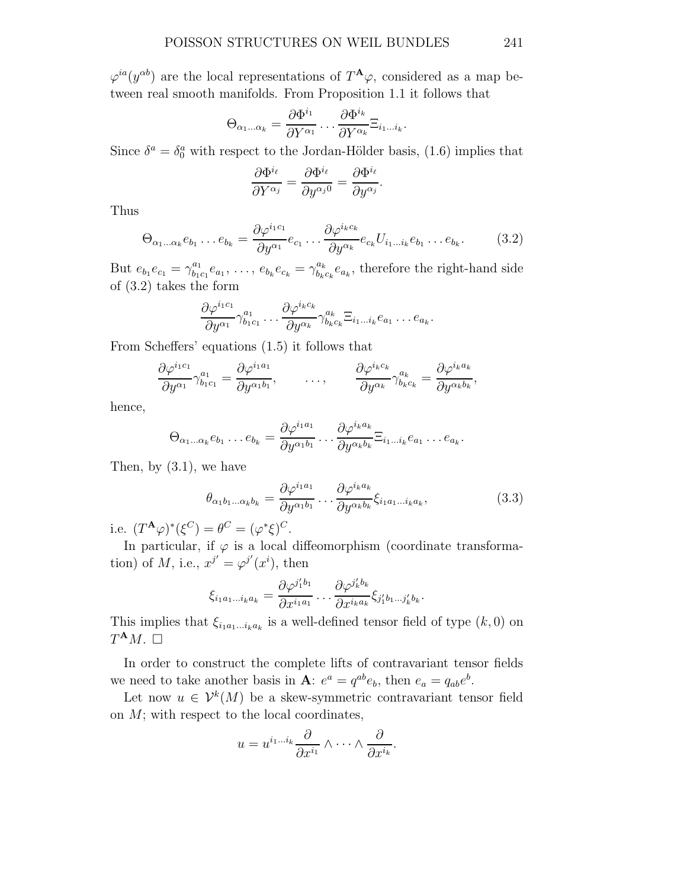$\varphi^{ia}(y^{ab})$  are the local representations of  $T^{\mathbf{A}}\varphi$ , considered as a map between real smooth manifolds. From Proposition 1.1 it follows that

$$
\Theta_{\alpha_1...\alpha_k} = \frac{\partial \Phi^{i_1}}{\partial Y^{\alpha_1}} \dots \frac{\partial \Phi^{i_k}}{\partial Y^{\alpha_k}} \Xi_{i_1...i_k}.
$$

Since  $\delta^a = \delta^a_0$  with respect to the Jordan-Hölder basis, (1.6) implies that

$$
\frac{\partial \Phi^{i_{\ell}}}{\partial Y^{\alpha_j}} = \frac{\partial \Phi^{i_{\ell}}}{\partial y^{\alpha_j 0}} = \frac{\partial \Phi^{i_{\ell}}}{\partial y^{\alpha_j}}.
$$

Thus

$$
\Theta_{\alpha_1...\alpha_k}e_{b_1} \dots e_{b_k} = \frac{\partial \varphi^{i_1 c_1}}{\partial y^{\alpha_1}} e_{c_1} \dots \frac{\partial \varphi^{i_k c_k}}{\partial y^{\alpha_k}} e_{c_k} U_{i_1...i_k} e_{b_1} \dots e_{b_k}.
$$
 (3.2)

But  $e_{b_1}e_{c_1} = \gamma_{b_1}^{a_1}$  $b_{1c_1}^{a_1}e_{a_1}, \ldots, e_{b_k}e_{c_k} = \gamma_{b_k}^{a_k}$  $b_{k}^{a_{k}}e_{a_{k}}$ , therefore the right-hand side of (3.2) takes the form

$$
\frac{\partial \varphi^{i_1 c_1}}{\partial y^{\alpha_1}} \gamma_{b_1 c_1}^{a_1} \dots \frac{\partial \varphi^{i_k c_k}}{\partial y^{\alpha_k}} \gamma_{b_k c_k}^{a_k} \Xi_{i_1 \dots i_k} e_{a_1} \dots e_{a_k}.
$$

From Scheffers' equations (1.5) it follows that

$$
\frac{\partial \varphi^{i_1 c_1}}{\partial y^{\alpha_1}} \gamma_{b_1 c_1}^{a_1} = \frac{\partial \varphi^{i_1 a_1}}{\partial y^{\alpha_1 b_1}}, \qquad \ldots, \qquad \frac{\partial \varphi^{i_k c_k}}{\partial y^{\alpha_k}} \gamma_{b_k c_k}^{a_k} = \frac{\partial \varphi^{i_k a_k}}{\partial y^{\alpha_k b_k}},
$$

hence,

$$
\Theta_{\alpha_1...\alpha_k}e_{b_1}\dots e_{b_k}=\frac{\partial\varphi^{i_1a_1}}{\partial y^{\alpha_1b_1}}\dots\frac{\partial\varphi^{i_ka_k}}{\partial y^{\alpha_kb_k}}\Xi_{i_1...i_k}e_{a_1}\dots e_{a_k}.
$$

Then, by (3.1), we have

$$
\theta_{\alpha_1 b_1 \dots \alpha_k b_k} = \frac{\partial \varphi^{i_1 a_1}}{\partial y^{\alpha_1 b_1}} \dots \frac{\partial \varphi^{i_k a_k}}{\partial y^{\alpha_k b_k}} \xi_{i_1 a_1 \dots i_k a_k},
$$
\n(3.3)

.

i.e.  $(T^{\mathbf{A}}\varphi)^*(\xi^C) = \theta^C = (\varphi^*\xi)^C$ .

In particular, if  $\varphi$  is a local diffeomorphism (coordinate transformation) of M, i.e.,  $x^{j'} = \varphi^{j'}(x^i)$ , then

$$
\xi_{i_1a_1\ldots i_ka_k} = \frac{\partial \varphi^{j_1'b_1}}{\partial x^{i_1a_1}} \ldots \frac{\partial \varphi^{j_k'b_k}}{\partial x^{i_ka_k}} \xi_{j_1'b_1\ldots j_k'b_k}
$$

This implies that  $\xi_{i_1a_1\ldots i_ka_k}$  is a well-defined tensor field of type  $(k,0)$  on  $T^{\mathbf{A}}M.$   $\square$ 

In order to construct the complete lifts of contravariant tensor fields we need to take another basis in **A**:  $e^a = q^{ab}e_b$ , then  $e_a = q_{ab}e^b$ .

Let now  $u \in \mathcal{V}^k(M)$  be a skew-symmetric contravariant tensor field on  $M$ ; with respect to the local coordinates,

$$
u = u^{i_1 \dots i_k} \frac{\partial}{\partial x^{i_1}} \wedge \dots \wedge \frac{\partial}{\partial x^{i_k}}.
$$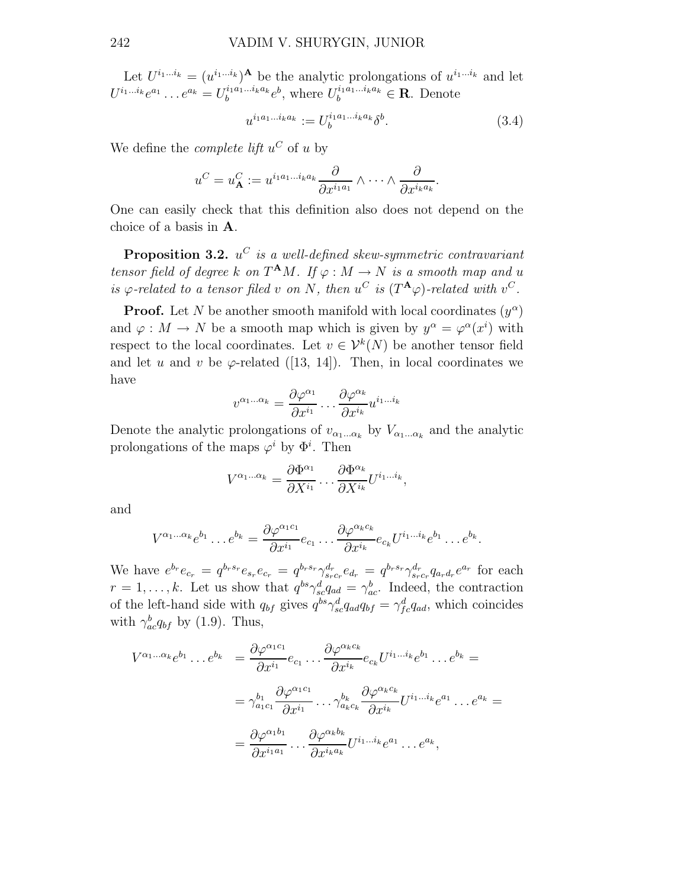Let  $U^{i_1...i_k} = (u^{i_1...i_k})^{\mathbf{A}}$  be the analytic prolongations of  $u^{i_1...i_k}$  and let  $U^{i_1...i_k}e^{a_1} \dots e^{a_k} = U_b^{i_1a_1...i_ka_k}e^b$ , where  $U_b^{i_1a_1...i_ka_k} \in \mathbf{R}$ . Denote

$$
u^{i_1 a_1 \dots i_k a_k} := U_b^{i_1 a_1 \dots i_k a_k} \delta^b. \tag{3.4}
$$

We define the *complete lift*  $u^C$  of u by

$$
u^C = u_{\mathbf{A}}^C := u^{i_1 a_1 \dots i_k a_k} \frac{\partial}{\partial x^{i_1 a_1}} \wedge \dots \wedge \frac{\partial}{\partial x^{i_k a_k}}.
$$

One can easily check that this definition also does not depend on the choice of a basis in A.

**Proposition 3.2.**  $u^C$  is a well-defined skew-symmetric contravariant tensor field of degree k on  $T^{\mathbf{A}}M$ . If  $\varphi: M \to N$  is a smooth map and u is  $\varphi$ -related to a tensor filed v on N, then  $u^C$  is  $(T^{\mathbf{A}}\varphi)$ -related with  $v^C$ .

**Proof.** Let N be another smooth manifold with local coordinates  $(y^{\alpha})$ and  $\varphi : M \to N$  be a smooth map which is given by  $y^{\alpha} = \varphi^{\alpha}(x^{i})$  with respect to the local coordinates. Let  $v \in \mathcal{V}^k(N)$  be another tensor field and let u and v be  $\varphi$ -related ([13, 14]). Then, in local coordinates we have

$$
v^{\alpha_1...\alpha_k} = \frac{\partial \varphi^{\alpha_1}}{\partial x^{i_1}} \dots \frac{\partial \varphi^{\alpha_k}}{\partial x^{i_k}} u^{i_1...i_k}
$$

Denote the analytic prolongations of  $v_{\alpha_1...\alpha_k}$  by  $V_{\alpha_1...\alpha_k}$  and the analytic prolongations of the maps  $\varphi^i$  by  $\Phi^i$ . Then

$$
V^{\alpha_1...\alpha_k} = \frac{\partial \Phi^{\alpha_1}}{\partial X^{i_1}} \dots \frac{\partial \Phi^{\alpha_k}}{\partial X^{i_k}} U^{i_1...i_k},
$$

and

$$
V^{\alpha_1...\alpha_k}e^{b_1}\dots e^{b_k}=\frac{\partial\varphi^{\alpha_1c_1}}{\partial x^{i_1}}e_{c_1}\dots\frac{\partial\varphi^{\alpha_kc_k}}{\partial x^{i_k}}e_{c_k}U^{i_1...i_k}e^{b_1}\dots e^{b_k}.
$$

We have  $e^{b_r}e_{c_r} = q^{b_r s_r}e_{s_r} = q^{b_r s_r} \gamma_{s_r c_r}^{d_r} e_{d_r} = q^{b_r s_r} \gamma_{s_r c_r}^{d_r} q_{a_r d_r} e^{a_r}$  for each  $r = 1, \ldots, k$ . Let us show that  $q^{bs} \gamma_{sc}^d q_{ad} = \gamma_{ac}^b$ . Indeed, the contraction of the left-hand side with  $q_{bf}$  gives  $q_{bf}^{bs} \gamma_{sc}^{d} q_{ad} q_{bf} = \gamma_{fc}^{d} q_{ad}$ , which coincides with  $\gamma_{ac}^{b}q_{bf}$  by (1.9). Thus,

$$
V^{\alpha_1...\alpha_k}e^{b_1}\dots e^{b_k} = \frac{\partial \varphi^{\alpha_1 c_1}}{\partial x^{i_1}} e_{c_1}\dots \frac{\partial \varphi^{\alpha_k c_k}}{\partial x^{i_k}} e_{c_k} U^{i_1...i_k} e^{b_1}\dots e^{b_k} =
$$
  

$$
= \gamma_{a_1 c_1}^{b_1} \frac{\partial \varphi^{\alpha_1 c_1}}{\partial x^{i_1}} \dots \gamma_{a_k c_k}^{b_k} \frac{\partial \varphi^{\alpha_k c_k}}{\partial x^{i_k}} U^{i_1...i_k} e^{a_1} \dots e^{a_k} =
$$
  

$$
= \frac{\partial \varphi^{\alpha_1 b_1}}{\partial x^{i_1 a_1}} \dots \frac{\partial \varphi^{\alpha_k b_k}}{\partial x^{i_k a_k}} U^{i_1...i_k} e^{a_1} \dots e^{a_k},
$$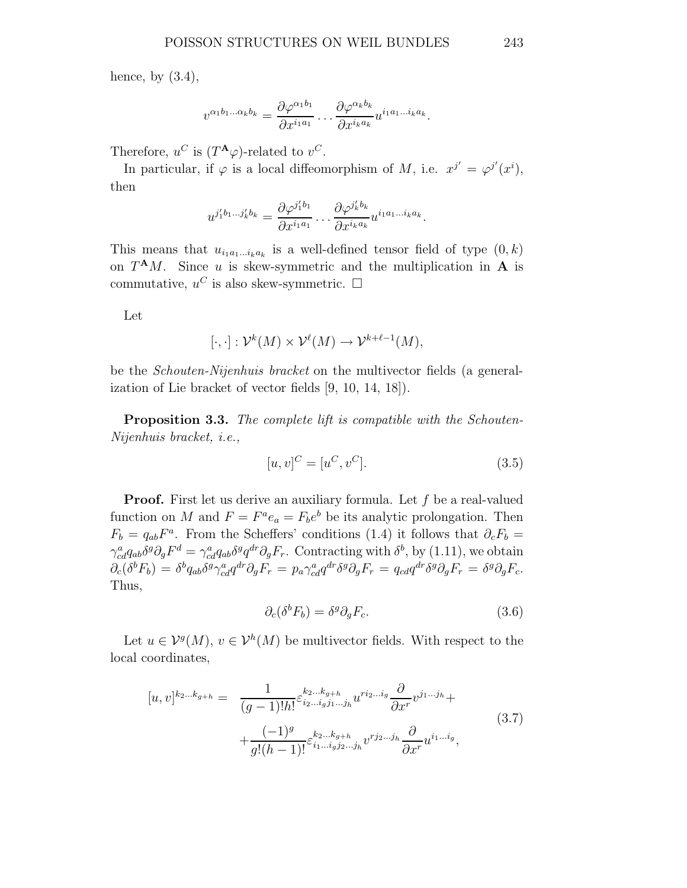hence, by  $(3.4)$ ,

$$
v^{\alpha_1b_1\ldots\alpha_kb_k}=\frac{\partial\varphi^{\alpha_1b_1}}{\partial x^{i_1a_1}}\ldots\frac{\partial\varphi^{\alpha_kb_k}}{\partial x^{i_ka_k}}u^{i_1a_1\ldots i_ka_k}.
$$

Therefore,  $u^C$  is  $(T^{\mathbf{A}}\varphi)$ -related to  $v^C$ .

In particular, if  $\varphi$  is a local diffeomorphism of M, i.e.  $x^{j'} = \varphi^{j'}(x^i)$ , then

$$
u^{j_1'b_1\ldots j_k'b_k} = \frac{\partial \varphi^{j_1'b_1}}{\partial x^{i_1 a_1}} \ldots \frac{\partial \varphi^{j_k'b_k}}{\partial x^{i_k a_k}} u^{i_1 a_1 \ldots i_k a_k}.
$$

This means that  $u_{i_1a_1...i_ka_k}$  is a well-defined tensor field of type  $(0,k)$ on  $T^{\mathbf{A}}M$ . Since u is skew-symmetric and the multiplication in **A** is commutative,  $u^C$  is also skew-symmetric.  $\Box$ 

Let

$$
[\cdot,\cdot]:\mathcal{V}^k(M)\times\mathcal{V}^\ell(M)\to\mathcal{V}^{k+\ell-1}(M),
$$

be the Schouten-Nijenhuis bracket on the multivector fields (a generalization of Lie bracket of vector fields [9, 10, 14, 18]).

**Proposition 3.3.** The complete lift is compatible with the Schouten-Nijenhuis bracket, i.e.,

$$
[u, v]^C = [u^C, v^C].
$$
\n(3.5)

**Proof.** First let us derive an auxiliary formula. Let  $f$  be a real-valued function on M and  $F = F^a e_a = F_b e^b$  be its analytic prolongation. Then  $F_b = q_{ab}F^a$ . From the Scheffers' conditions (1.4) it follows that  $\partial_c F_b =$  $\gamma_{cd}^a q_{ab} \delta^g \partial_g F^d = \gamma_{cd}^a q_{ab} \delta^g q^{dr} \partial_g F_r$ . Contracting with  $\delta^b$ , by (1.11), we obtain  $\partial_c(\delta^b F_b) = \delta^b q_{ab} \delta^g \gamma^a_{cd} q^{dr} \partial_g F_r = p_a \gamma^a_{cd} q^{dr} \delta^g \partial_g F_r = q_{cd} q^{dr} \delta^g \partial_g F_r = \delta^g \partial_g F_c.$ Thus,

$$
\partial_c(\delta^b F_b) = \delta^g \partial_g F_c. \tag{3.6}
$$

Let  $u \in \mathcal{V}^g(M)$ ,  $v \in \mathcal{V}^h(M)$  be multivector fields. With respect to the local coordinates,

$$
[u, v]^{k_2 \dots k_{g+h}} = \frac{1}{(g-1)!h!} \varepsilon_{i_2 \dots i_g j_1 \dots j_h}^{k_2 \dots k_{g+h}} u^{r i_2 \dots i_g} \frac{\partial}{\partial x^r} v^{j_1 \dots j_h} + \frac{(-1)^g}{g!(h-1)!} \varepsilon_{i_1 \dots i_g j_2 \dots j_h}^{k_2 \dots k_{g+h}} v^{r j_2 \dots j_h} \frac{\partial}{\partial x^r} u^{i_1 \dots i_g},
$$
\n(3.7)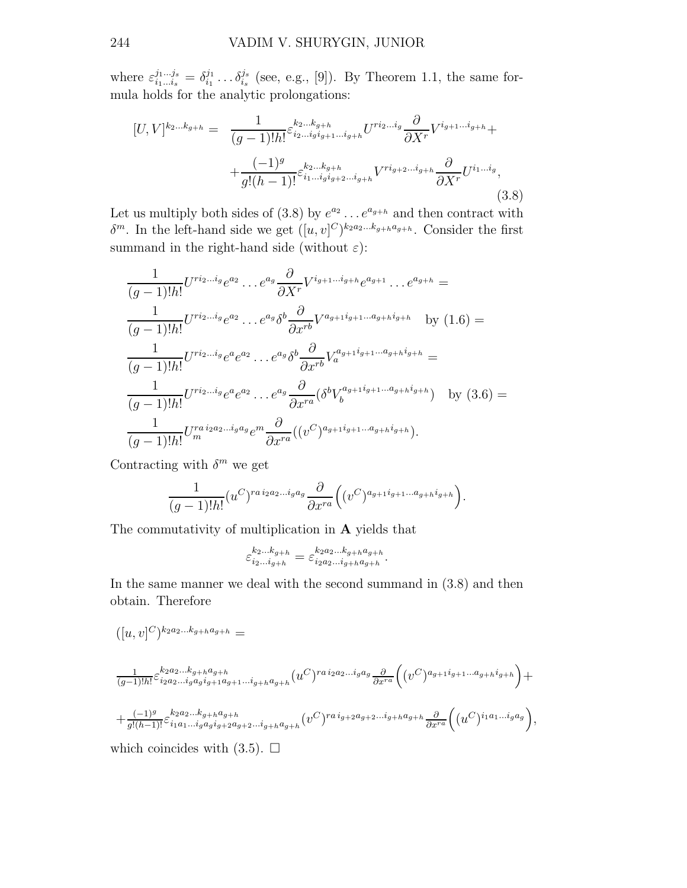where  $\varepsilon_{i_1...i_s}^{j_1...j_s} = \delta_{i_1}^{j_1}$  $\delta_{i_1}^{j_1} \ldots \delta_{i_s}^{j_s}$  $i_s^{j_s}$  (see, e.g., [9]). By Theorem 1.1, the same formula holds for the analytic prolongations:

$$
[U,V]^{k_{2}...k_{g+h}} = \frac{1}{(g-1)!h!} \varepsilon_{i_{2}...i_{g}i_{g+1}...i_{g+h}}^{k_{2}...k_{g+h}} U^{r i_{2}...i_{g}} \frac{\partial}{\partial X^{r}} V^{i_{g+1}...i_{g+h}} + \frac{(-1)^{g}}{g!(h-1)!} \varepsilon_{i_{1}...i_{g}i_{g+2}...i_{g+h}}^{k_{2}...k_{g+h}} V^{r i_{g+2}...i_{g+h}} \frac{\partial}{\partial X^{r}} U^{i_{1}...i_{g}},
$$
\n(3.8)

Let us multiply both sides of  $(3.8)$  by  $e^{a_2} \dots e^{a_{g+h}}$  and then contract with  $\delta^m$ . In the left-hand side we get  $([u, v]^C)^{k_2 a_2 ... k_{g+h} a_{g+h}}$ . Consider the first summand in the right-hand side (without  $\varepsilon$ ):

$$
\frac{1}{(g-1)!h!}U^{ri_{2}...i_{g}}e^{a_{2}}\dots e^{a_{g}}\frac{\partial}{\partial X^{r}}V^{i_{g+1}...i_{g+h}}e^{a_{g+1}}\dots e^{a_{g+h}} =
$$
\n
$$
\frac{1}{(g-1)!h!}U^{ri_{2}...i_{g}}e^{a_{2}}\dots e^{a_{g}}\delta^{b}\frac{\partial}{\partial x^{rb}}V^{a_{g+1}i_{g+1}...a_{g+h}i_{g+h}} \text{ by (1.6)} =
$$
\n
$$
\frac{1}{(g-1)!h!}U^{ri_{2}...i_{g}}e^{a}e^{a_{2}}\dots e^{a_{g}}\delta^{b}\frac{\partial}{\partial x^{rb}}V^{a_{g+1}i_{g+1}...a_{g+h}i_{g+h}} =
$$
\n
$$
\frac{1}{(g-1)!h!}U^{ri_{2}...i_{g}}e^{a}e^{a_{2}}\dots e^{a_{g}}\frac{\partial}{\partial x^{ra}}(\delta^{b}V^{a_{g+1}i_{g+1}...a_{g+h}i_{g+h}}) \text{ by (3.6)} =
$$
\n
$$
\frac{1}{(g-1)!h!}U^{ri_{2}i_{2}a_{2}...i_{g}a_{g}}e^{m}\frac{\partial}{\partial x^{ra}}((v^{C})^{a_{g+1}i_{g+1}...a_{g+h}i_{g+h}}).
$$

Contracting with  $\delta^m$  we get

$$
\frac{1}{(g-1)!h!} (u^C)^{ra\,i_2a_2\ldots i_ga_g} \frac{\partial}{\partial x^{ra}} \Big( (v^C)^{a_{g+1}i_{g+1}\ldots a_{g+h}i_{g+h}} \Big).
$$

The commutativity of multiplication in A yields that

$$
\varepsilon_{i_2...i_{g+h}}^{k_2...k_{g+h}} = \varepsilon_{i_2a_2...i_{g+h}a_{g+h}}^{k_2a_2...k_{g+h}a_{g+h}}.
$$

In the same manner we deal with the second summand in (3.8) and then obtain. Therefore

$$
([u,v]^C)^{k_2a_2\ldots k_{g+h}a_{g+h}}=
$$

$$
\frac{1}{(g-1)!h!} \varepsilon_{i_2a_2\ldots i_g a_g i_{g+1}a_{g+1}\ldots i_{g+h} a_{g+h}}^{k_2a_2\ldots k_{g+h} a_{g+h}} (u^C)^{ra i_2a_2\ldots i_g a_g} \frac{\partial}{\partial x^{ra}} \Big( (v^C)^{a_{g+1}i_{g+1}\ldots a_{g+h} i_{g+h}} \Big) + \n+ \frac{(-1)^g}{g!(h-1)!} \varepsilon_{i_1a_1\ldots i_g a_g i_{g+2}a_{g+2}\ldots i_{g+h} a_{g+h}}^{k_2a_2\ldots k_{g+h} a_{g+h}} (v^C)^{ra i_{g+2}a_{g+2}\ldots i_{g+h} a_{g+h}} \frac{\partial}{\partial x^{ra}} \Big( (u^C)^{i_1a_1\ldots i_g a_g} \Big),
$$

which coincides with  $(3.5)$ .  $\Box$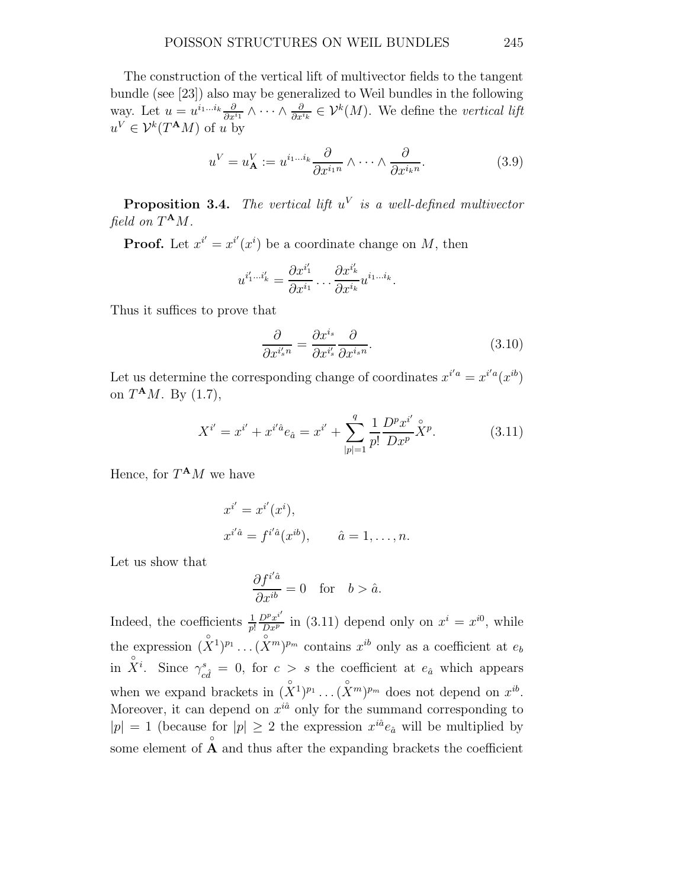The construction of the vertical lift of multivector fields to the tangent bundle (see [23]) also may be generalized to Weil bundles in the following way. Let  $u = u^{i_1...i_k} \frac{\partial}{\partial x^{i_1}} \wedge \cdots \wedge \frac{\partial}{\partial x^{i_k}}$  $\frac{\partial}{\partial x^{i_k}} \in \mathcal{V}^k(M)$ . We define the vertical lift  $u^V \in \mathcal{V}^k(T^{\mathbf{A}}M)$  of u by

$$
u^{V} = u^{V}_{\mathbf{A}} := u^{i_{1} \dots i_{k}} \frac{\partial}{\partial x^{i_{1}n}} \wedge \dots \wedge \frac{\partial}{\partial x^{i_{k}n}}.
$$
\n(3.9)

**Proposition 3.4.** The vertical lift  $u^V$  is a well-defined multivector field on  $T^{\mathbf{A}}M$ .

**Proof.** Let  $x^{i'} = x^{i'}(x^i)$  be a coordinate change on M, then

$$
u^{i'_1...i'_k} = \frac{\partial x^{i'_1}}{\partial x^{i_1}} \dots \frac{\partial x^{i'_k}}{\partial x^{i_k}} u^{i_1...i_k}.
$$

Thus it suffices to prove that

$$
\frac{\partial}{\partial x^{i_s'}n} = \frac{\partial x^{i_s}}{\partial x^{i_s'}} \frac{\partial}{\partial x^{i_s}n}.\tag{3.10}
$$

Let us determine the corresponding change of coordinates  $x^{i'a} = x^{i'a}(x^{ib})$ on  $T^{\mathbf{A}}M$ . By  $(1.7)$ ,

$$
X^{i'} = x^{i'} + x^{i'\hat{a}} e_{\hat{a}} = x^{i'} + \sum_{|p|=1}^{q} \frac{1}{p!} \frac{D^p x^{i'}}{D x^p} \hat{X}^p.
$$
 (3.11)

Hence, for  $T^{\mathbf{A}}M$  we have

$$
x^{i'} = x^{i'}(x^i),
$$
  
\n
$$
x^{i'\hat{a}} = f^{i'\hat{a}}(x^{ib}), \qquad \hat{a} = 1, \dots, n.
$$

Let us show that

$$
\frac{\partial f^{i'\hat{a}}}{\partial x^{ib}} = 0 \quad \text{for} \quad b > \hat{a}.
$$

Indeed, the coefficients  $\frac{1}{p!}$  $\frac{D^p x^{i'}}{D x^p}$  in (3.11) depend only on  $x^i = x^{i0}$ , while the expression  $(X^1)^{p_1} \dots (X^m)^{p_m}$  contains  $x^{ib}$  only as a coefficient at  $e_b$ in  $\hat{X}^i$ . Since  $\gamma_s^s$  $\epsilon_{c\hat{d}}^s = 0$ , for  $c > s$  the coefficient at  $e_{\hat{a}}$  which appears when we expand brackets in  $(X^1)^{p_1} \dots (X^m)^{p_m}$  does not depend on  $x^{ib}$ . Moreover, it can depend on  $x^{i\hat{a}}$  only for the summand corresponding to  $|p| = 1$  (because for  $|p| \geq 2$  the expression  $x^{i\hat{a}} e_{\hat{a}}$  will be multiplied by some element of  $\mathring{A}$  and thus after the expanding brackets the coefficient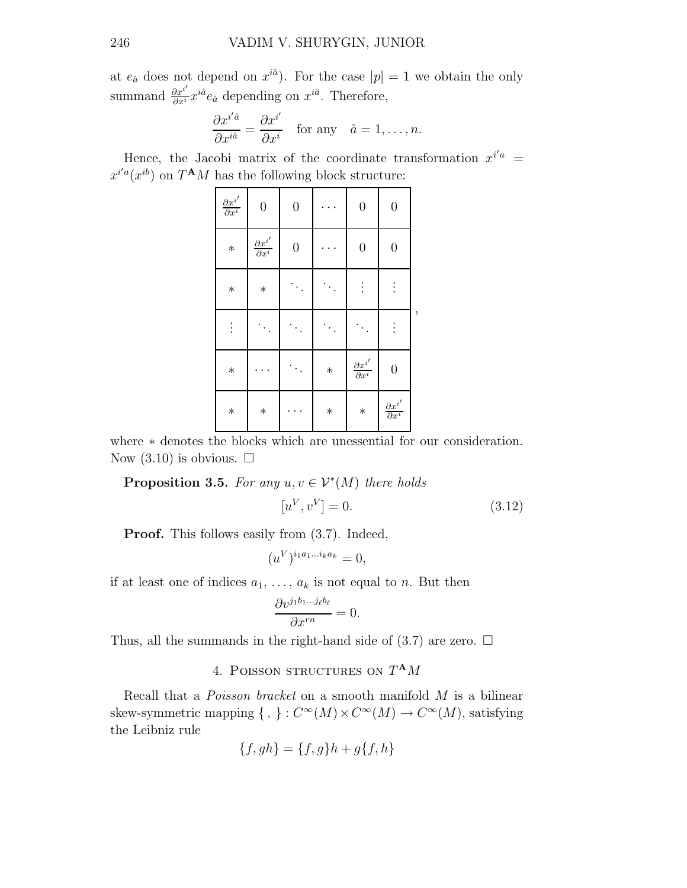at  $e_{\hat{a}}$  does not depend on  $x^{i\hat{a}}$ . For the case  $|p|=1$  we obtain the only summand  $\frac{\partial x^{i'}}{\partial x^{i}} x^{i\hat{a}} e_{\hat{a}}$  depending on  $x^{i\hat{a}}$ . Therefore,

$$
\frac{\partial x^{i'\hat{a}}}{\partial x^{i\hat{a}}} = \frac{\partial x^{i'}}{\partial x^i} \quad \text{for any} \quad \hat{a} = 1, \dots, n.
$$

Hence, the Jacobi matrix of the coordinate transformation  $x^{i'a}$  $x^{i'a}(x^{ib})$  on  $T^{\mathbf{A}}M$  has the following block structure:

| $\frac{\partial x^{i'}}{\partial x^{i}}$ | $\boldsymbol{0}$                         | $\boldsymbol{0}$ |        | $\boldsymbol{0}$                                  | $\boldsymbol{0}$                         |   |
|------------------------------------------|------------------------------------------|------------------|--------|---------------------------------------------------|------------------------------------------|---|
| $\ast$                                   | $\frac{\partial x^{i'}}{\partial x^{i}}$ | $\boldsymbol{0}$ |        | $\boldsymbol{0}$                                  | $\overline{0}$                           |   |
| $\ast$                                   | $\ast$                                   |                  |        | ÷                                                 | $\vdots$                                 |   |
| $\vdots$                                 |                                          |                  |        |                                                   | $\vdots$                                 | , |
| $\ast$                                   |                                          |                  | $\ast$ | $\frac{\partial x^{i^{\prime }}}{\partial x^{i}}$ | $\overline{0}$                           |   |
| $\ast$                                   | $\ast$                                   |                  | $\ast$ | $\ast$                                            | $\frac{\partial x^{i'}}{\partial x^{i}}$ |   |

where  $*$  denotes the blocks which are unessential for our consideration. Now  $(3.10)$  is obvious.  $\Box$ 

**Proposition 3.5.** For any  $u, v \in \mathcal{V}^*(M)$  there holds

$$
[u^V, v^V] = 0.
$$
\n(3.12)

Proof. This follows easily from (3.7). Indeed,

$$
(u^V)^{i_1a_1\ldots i_ka_k}=0,
$$

if at least one of indices  $a_1, \ldots, a_k$  is not equal to n. But then

$$
\frac{\partial v^{j_1 b_1 \dots j_\ell b_\ell}}{\partial x^{rn}} = 0.
$$

Thus, all the summands in the right-hand side of  $(3.7)$  are zero.  $\Box$ 

## 4. POISSON STRUCTURES ON  $T^{\mathbf{A}}M$

Recall that a *Poisson bracket* on a smooth manifold M is a bilinear skew-symmetric mapping  $\{ , \} : C^{\infty}(M) \times C^{\infty}(M) \to C^{\infty}(M)$ , satisfying the Leibniz rule

$$
\{f, gh\} = \{f, g\}h + g\{f, h\}
$$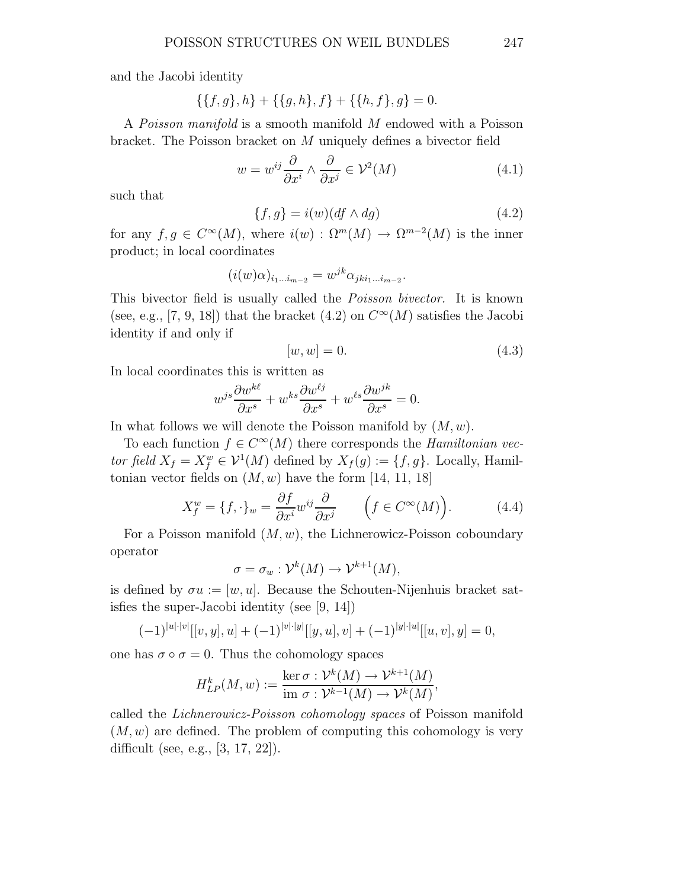and the Jacobi identity

$$
\{\{f,g\},h\}+\{\{g,h\},f\}+\{\{h,f\},g\}=0.
$$

A Poisson manifold is a smooth manifold M endowed with a Poisson bracket. The Poisson bracket on M uniquely defines a bivector field

$$
w = w^{ij} \frac{\partial}{\partial x^i} \wedge \frac{\partial}{\partial x^j} \in \mathcal{V}^2(M)
$$
\n(4.1)

such that

$$
\{f, g\} = i(w)(df \wedge dg) \tag{4.2}
$$

for any  $f, g \in C^{\infty}(M)$ , where  $i(w) : \Omega^{m}(M) \to \Omega^{m-2}(M)$  is the inner product; in local coordinates

$$
(i(w)\alpha)_{i_1\ldots i_{m-2}} = w^{jk}\alpha_{jk i_1\ldots i_{m-2}}.
$$

This bivector field is usually called the Poisson bivector. It is known (see, e.g., [7, 9, 18]) that the bracket (4.2) on  $C^{\infty}(M)$  satisfies the Jacobi identity if and only if

$$
[w, w] = 0.\t\t(4.3)
$$

In local coordinates this is written as

$$
w^{js}\frac{\partial w^{k\ell}}{\partial x^s} + w^{ks}\frac{\partial w^{\ell j}}{\partial x^s} + w^{\ell s}\frac{\partial w^{jk}}{\partial x^s} = 0.
$$

In what follows we will denote the Poisson manifold by  $(M, w)$ .

To each function  $f \in C^{\infty}(M)$  there corresponds the *Hamiltonian vec*tor field  $X_f = X_f^w \in \mathcal{V}^1(M)$  defined by  $X_f(g) := \{f, g\}$ . Locally, Hamiltonian vector fields on  $(M, w)$  have the form [14, 11, 18]

$$
X_f^w = \{f, \cdot\}_w = \frac{\partial f}{\partial x^i} w^{ij} \frac{\partial}{\partial x^j} \qquad \left(f \in C^\infty(M)\right). \tag{4.4}
$$

For a Poisson manifold  $(M, w)$ , the Lichnerowicz-Poisson coboundary operator

$$
\sigma = \sigma_w : \mathcal{V}^k(M) \to \mathcal{V}^{k+1}(M),
$$

is defined by  $\sigma u := [w, u]$ . Because the Schouten-Nijenhuis bracket satisfies the super-Jacobi identity (see [9, 14])

$$
(-1)^{|u|\cdot|v|}[[v,y],u] + (-1)^{|v|\cdot|y|}[[y,u],v] + (-1)^{|y|\cdot|u|}[[u,v],y] = 0,
$$

one has  $\sigma \circ \sigma = 0$ . Thus the cohomology spaces

$$
H_{LP}^k(M, w) := \frac{\ker \sigma : \mathcal{V}^k(M) \to \mathcal{V}^{k+1}(M)}{\operatorname{im} \sigma : \mathcal{V}^{k-1}(M) \to \mathcal{V}^k(M)},
$$

called the Lichnerowicz-Poisson cohomology spaces of Poisson manifold  $(M, w)$  are defined. The problem of computing this cohomology is very difficult (see, e.g., [3, 17, 22]).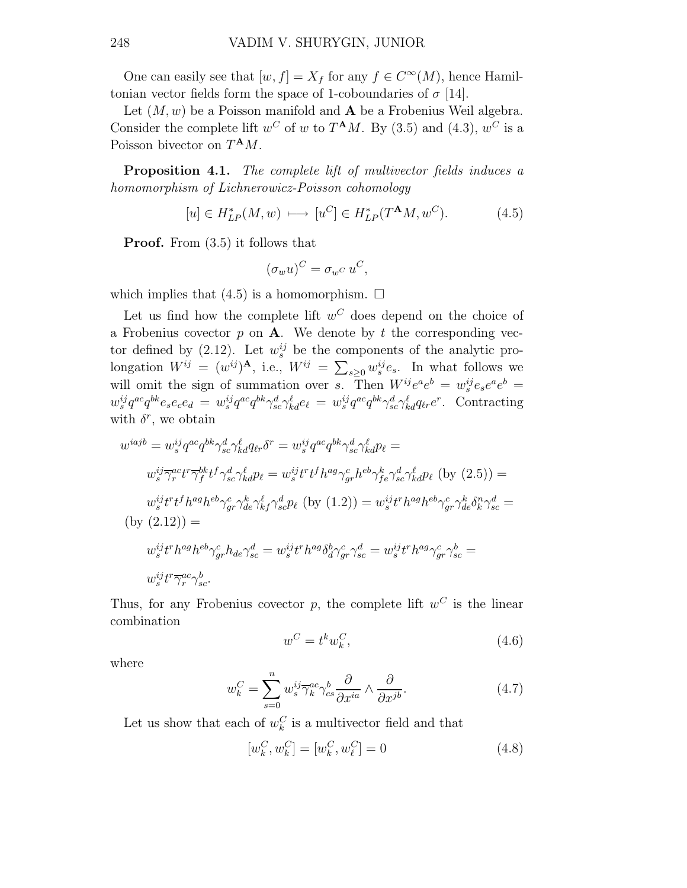One can easily see that  $[w, f] = X_f$  for any  $f \in C^{\infty}(M)$ , hence Hamiltonian vector fields form the space of 1-coboundaries of  $\sigma$  [14].

Let  $(M, w)$  be a Poisson manifold and  $A$  be a Frobenius Weil algebra. Consider the complete lift  $w^C$  of w to  $T^{\mathbf{A}}M$ . By (3.5) and (4.3),  $w^C$  is a Poisson bivector on  $T^{\mathbf{A}}M$ .

**Proposition 4.1.** The complete lift of multivector fields induces a homomorphism of Lichnerowicz-Poisson cohomology

$$
[u] \in H_{LP}^*(M, w) \longrightarrow [u^C] \in H_{LP}^*(T^{\mathbf{A}}M, w^C). \tag{4.5}
$$

Proof. From (3.5) it follows that

$$
(\sigma_w u)^C = \sigma_{w^C} u^C,
$$

which implies that  $(4.5)$  is a homomorphism.  $\Box$ 

Let us find how the complete lift  $w^C$  does depend on the choice of a Frobenius covector  $p$  on  $A$ . We denote by  $t$  the corresponding vector defined by (2.12). Let  $w_s^{ij}$  be the components of the analytic prolongation  $W^{ij} = (w^{ij})^{\mathbf{A}}, \text{ i.e., } W^{ij} = \sum_{s \geq 0} w_s^{ij} e_s.$  In what follows we will omit the sign of summation over s. Then  $W^{ij}e^{a}e^{b} = w^{ij}_s e_s e^{a} e^{b} =$  $w_s^{ij}q^{ac}q^{bk}e_se_ce_d = w_s^{ij}q^{ac}q^{bk}\gamma_{sc}^d\gamma_{kd}^d e_\ell = w_s^{ij}q^{ac}q^{bk}\gamma_{sc}^d\gamma_{kd}^{\ell}q_{\ell r}e^r$ . Contracting with  $\delta^r$ , we obtain

$$
w^{iajb} = w_s^{ij} q^{ac} q^{bk} \gamma_{sc}^d \gamma_{kd}^{\ell} q_{tr} \delta^r = w_s^{ij} q^{ac} q^{bk} \gamma_{sc}^d \gamma_{kd}^{\ell} p_{\ell} =
$$
  
\n
$$
w_s^{ij} \overline{\gamma_r^{ac}} t^r \overline{\gamma_f^{bk}} t^f \gamma_{sc}^d \gamma_{kd}^{\ell} p_{\ell} = w_s^{ij} t^r t^f h^{ag} \gamma_{gr}^c h^{eb} \gamma_{fe}^k \gamma_{sc}^d \gamma_{kd}^{\ell} p_{\ell}
$$
 (by (2.5)) =  
\n
$$
w_s^{ij} t^r t^f h^{ag} h^{eb} \gamma_{gr}^c \gamma_{de}^k \gamma_{kf}^{\ell} \gamma_{sc}^d p_{\ell}
$$
 (by (1.2)) = 
$$
w_s^{ij} t^r h^{ag} h^{eb} \gamma_{gr}^c \gamma_{dc}^k \delta_k^n \gamma_{sc}^d =
$$
  
\n(by 
$$
(2.12)
$$
) =  
\n
$$
w_s^{ij} t^r h^{ag} h^{eb} \gamma_{gr}^c h_{de} \gamma_{sc}^d = w_s^{ij} t^r h^{ag} \delta_d^b \gamma_{gr}^c \gamma_{sc}^d = w_s^{ij} t^r h^{ag} \gamma_{gr}^c \gamma_{sc}^b =
$$
  
\n
$$
w_s^{ij} t^r \overline{\gamma_r^{ac}} \gamma_{sc}^b.
$$

Thus, for any Frobenius covector  $p$ , the complete lift  $w^C$  is the linear combination

$$
w^C = t^k w_k^C,\tag{4.6}
$$

where

$$
w_k^C = \sum_{s=0}^n w_s^{ij} \overline{\gamma}_k^{ac} \gamma_{cs}^b \frac{\partial}{\partial x^{ia}} \wedge \frac{\partial}{\partial x^{jb}}.
$$
 (4.7)

Let us show that each of  $w_k^C$  is a multivector field and that

$$
[w_k^C, w_k^C] = [w_k^C, w_\ell^C] = 0 \tag{4.8}
$$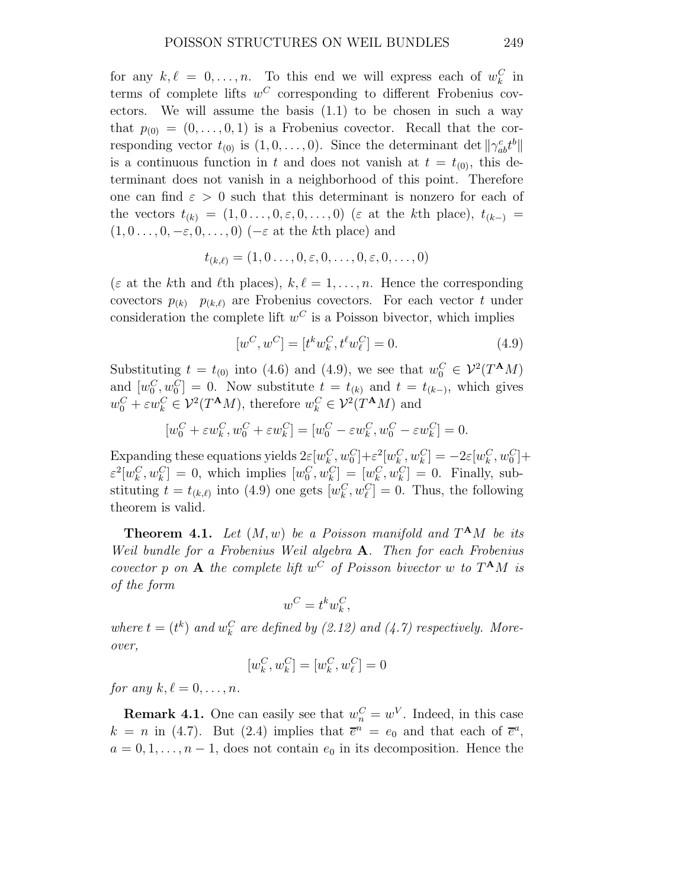for any  $k, \ell = 0, \ldots, n$ . To this end we will express each of  $w_k^C$  in terms of complete lifts  $w^C$  corresponding to different Frobenius covectors. We will assume the basis (1.1) to be chosen in such a way that  $p_{(0)} = (0, \ldots, 0, 1)$  is a Frobenius covector. Recall that the corresponding vector  $t_{(0)}$  is  $(1,0,\ldots,0)$ . Since the determinant det  $\|\gamma_{ab}^c t^b\|$ is a continuous function in t and does not vanish at  $t = t_{(0)}$ , this determinant does not vanish in a neighborhood of this point. Therefore one can find  $\varepsilon > 0$  such that this determinant is nonzero for each of the vectors  $t_{(k)} = (1, 0, \ldots, 0, \varepsilon, 0, \ldots, 0)$  ( $\varepsilon$  at the kth place),  $t_{(k-)} =$  $(1, 0 \ldots, 0, -\varepsilon, 0, \ldots, 0)$  ( $-\varepsilon$  at the kth place) and

$$
t_{(k,\ell)}=(1,0\ldots,0,\varepsilon,0,\ldots,0,\varepsilon,0,\ldots,0)
$$

( $\varepsilon$  at the kth and  $\ell$ th places),  $k, \ell = 1, \ldots, n$ . Hence the corresponding covectors  $p_{(k)}$   $p_{(k,\ell)}$  are Frobenius covectors. For each vector t under consideration the complete lift  $w^C$  is a Poisson bivector, which implies

$$
[w^C, w^C] = [t^k w_k^C, t^\ell w_\ell^C] = 0.
$$
\n(4.9)

Substituting  $t = t_{(0)}$  into (4.6) and (4.9), we see that  $w_0^C \in \mathcal{V}^2(T^{\mathbf{A}}M)$ and  $[w_0^C, w_0^C] = 0$ . Now substitute  $t = t_{(k)}$  and  $t = t_{(k-)}$ , which gives  $w_0^C + \varepsilon w_k^C \in \mathcal{V}^2(T^{\mathbf{A}}M)$ , therefore  $w_k^C \in \mathcal{V}^2(T^{\mathbf{A}}M)$  and

$$
[w_0^C + \varepsilon w_k^C, w_0^C + \varepsilon w_k^C] = [w_0^C - \varepsilon w_k^C, w_0^C - \varepsilon w_k^C] = 0.
$$

Expanding these equations yields  $2\varepsilon[w_k^C, w_0^C]+\varepsilon^2[w_k^C, w_k^C]=-2\varepsilon[w_k^C, w_0^C]+$  $\varepsilon^2[w_k^C, w_k^C] = 0$ , which implies  $[w_0^C, w_k^C] = [w_k^C, w_k^C] = 0$ . Finally, substituting  $t = t_{(k,\ell)}$  into (4.9) one gets  $[w_k^C, w_\ell^C] = 0$ . Thus, the following theorem is valid.

**Theorem 4.1.** Let  $(M, w)$  be a Poisson manifold and  $T^{\mathbf{A}}M$  be its Weil bundle for a Frobenius Weil algebra **A**. Then for each Frobenius covector p on A the complete lift  $w^C$  of Poisson bivector w to  $T^{\mathbf{A}}M$  is of the form

$$
w^C = t^k w_k^C,
$$

where  $t = (t^k)$  and  $w_k^C$  are defined by (2.12) and (4.7) respectively. Moreover,

$$
[w^C_k,w^C_k]=[w^C_k,w^C_\ell]=0
$$

for any  $k, \ell = 0, \ldots, n$ .

**Remark 4.1.** One can easily see that  $w_n^C = w^V$ . Indeed, in this case  $k = n$  in (4.7). But (2.4) implies that  $\overline{e}^n = e_0$  and that each of  $\overline{e}^a$ ,  $a = 0, 1, \ldots, n-1$ , does not contain  $e_0$  in its decomposition. Hence the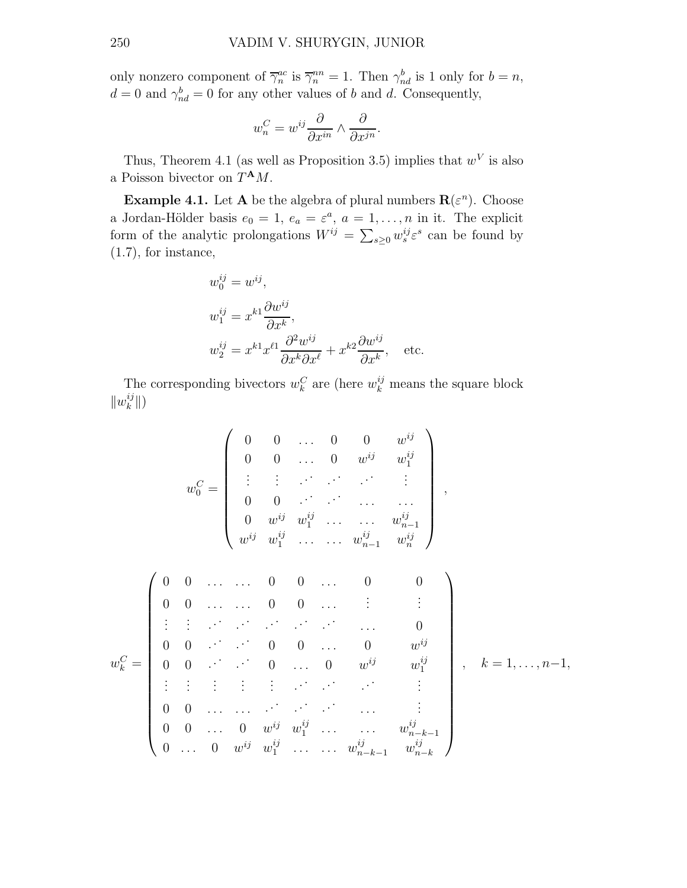only nonzero component of  $\overline{\gamma}_n^{ac}$  is  $\overline{\gamma}_n^{nn} = 1$ . Then  $\gamma_{nd}^b$  is 1 only for  $b = n$ ,  $d = 0$  and  $\gamma_{nd}^b = 0$  for any other values of b and d. Consequently,

$$
w_n^C = w^{ij} \frac{\partial}{\partial x^{in}} \wedge \frac{\partial}{\partial x^{jn}}.
$$

Thus, Theorem 4.1 (as well as Proposition 3.5) implies that  $w<sup>V</sup>$  is also a Poisson bivector on  $T^{\mathbf{A}}M$ .

**Example 4.1.** Let **A** be the algebra of plural numbers  $\mathbf{R}(\varepsilon^n)$ . Choose a Jordan-Hölder basis  $e_0 = 1, e_a = \varepsilon^a, a = 1, \ldots, n$  in it. The explicit form of the analytic prolongations  $W^{ij} = \sum_{s\geq 0} w_s^{ij} \varepsilon^s$  can be found by (1.7), for instance,

ij

$$
w_0^{ij} = w^{ij},
$$
  
\n
$$
w_1^{ij} = x^{k_1} \frac{\partial w^{ij}}{\partial x^k},
$$
  
\n
$$
w_2^{ij} = x^{k_1} x^{\ell_1} \frac{\partial^2 w^{ij}}{\partial x^k \partial x^\ell} + x^{k_2} \frac{\partial w^{ij}}{\partial x^k}, \text{ etc.}
$$

The corresponding bivectors  $w_k^C$  are (here  $w_k^{ij}$  means the square block  $\|w_k^{ij}$  $\binom{ij}{k}$ 

$$
w_0^C = \begin{pmatrix} 0 & 0 & \dots & 0 & 0 & w^{ij} & w_1^{ij} \\ 0 & 0 & \dots & 0 & w^{ij} & w_1^{ij} & & & \\ \vdots & \vdots & \vdots & \ddots & \ddots & \ddots & \vdots & \vdots & & \\ 0 & 0 & \vdots & \ddots & \dots & \dots & w_{n-1}^{ij} & & \\ w^{ij} & w_1^{ij} & \dots & \dots & w_{n-1}^{ij} & w_n^{ij} & & & \\ & & & & & & & & \\ 0 & 0 & \dots & \dots & 0 & 0 & \dots & 0 & 0 & \\ \vdots & \vdots & \vdots & \ddots & \ddots & \ddots & \ddots & \dots & 0 & & \\ 0 & 0 & \dots & \vdots & 0 & 0 & \dots & 0 & w^{ij} & w_1^{ij} & & \\ \vdots & \vdots & \vdots & \vdots & \vdots & \ddots & \ddots & \vdots & \vdots & \\ 0 & 0 & \dots & \dots & \vdots & \ddots & \dots & \vdots & \vdots & \\ 0 & 0 & \dots & 0 & w^{ij} & w_1^{ij} & \dots & \dots & w_{n-k-1}^{ij} & & \\ 0 & \dots & 0 & w^{ij} & w_1^{ij} & \dots & \dots & w_{n-k-1}^{ij} & w_{n-k}^{ij} & \end{pmatrix}, k = 1, \dots, n-1,
$$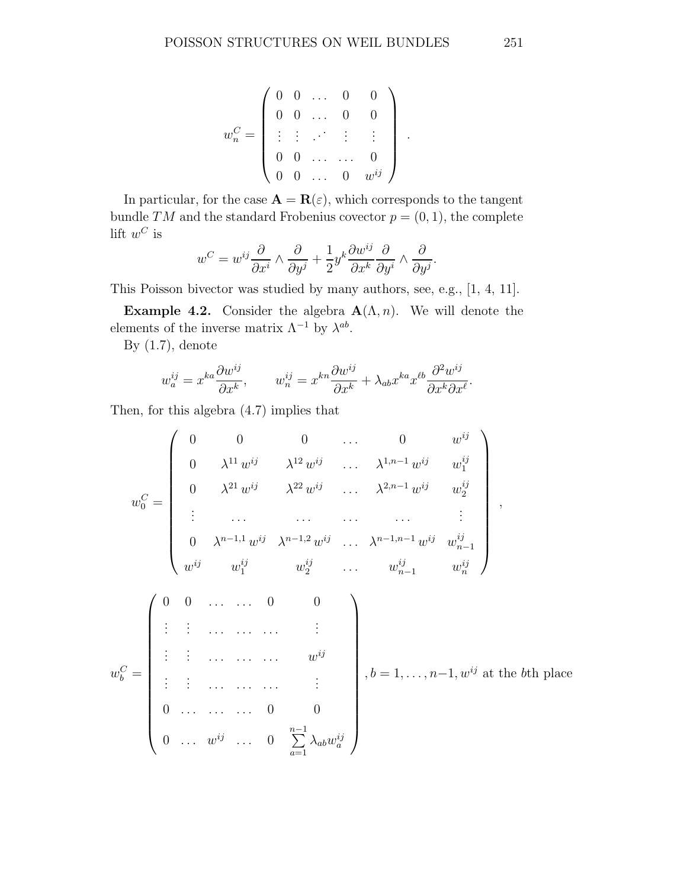$$
w_n^C = \left(\begin{array}{cccc} 0 & 0 & \dots & 0 & 0 \\ 0 & 0 & \dots & 0 & 0 \\ \vdots & \vdots & \ddots & \vdots & \vdots \\ 0 & 0 & \dots & \dots & 0 \\ 0 & 0 & \dots & 0 & w^{ij} \end{array}\right)
$$

.

In particular, for the case  $\mathbf{A} = \mathbf{R}(\varepsilon)$ , which corresponds to the tangent bundle TM and the standard Frobenius covector  $p = (0, 1)$ , the complete  $\mathrm{lift}\,\,w^C$  is

$$
w^C=w^{ij}\frac{\partial}{\partial x^i}\wedge \frac{\partial}{\partial y^j}+\frac{1}{2}y^k\frac{\partial w^{ij}}{\partial x^k}\frac{\partial}{\partial y^i}\wedge \frac{\partial}{\partial y^j}.
$$

This Poisson bivector was studied by many authors, see, e.g., [1, 4, 11].

**Example 4.2.** Consider the algebra  $\mathbf{A}(\Lambda, n)$ . We will denote the elements of the inverse matrix  $\Lambda^{-1}$  by  $\lambda^{ab}$ .

By  $(1.7)$ , denote

$$
w_a^{ij} = x^{ka} \frac{\partial w^{ij}}{\partial x^k}, \qquad w_n^{ij} = x^{kn} \frac{\partial w^{ij}}{\partial x^k} + \lambda_{ab} x^{ka} x^{kb} \frac{\partial^2 w^{ij}}{\partial x^k \partial x^l}.
$$

Then, for this algebra (4.7) implies that

$$
w_0^C = \begin{pmatrix}\n0 & 0 & 0 & \dots & 0 & w^{ij} \\
0 & \lambda^{11} w^{ij} & \lambda^{12} w^{ij} & \dots & \lambda^{1,n-1} w^{ij} & w_1^{ij} \\
0 & \lambda^{21} w^{ij} & \lambda^{22} w^{ij} & \dots & \lambda^{2,n-1} w^{ij} & w_2^{ij} \\
\vdots & \dots & \dots & \dots & \dots & \vdots \\
0 & \lambda^{n-1,1} w^{ij} & \lambda^{n-1,2} w^{ij} & \dots & \lambda^{n-1,n-1} w^{ij} & w_{n-1}^{ij} \\
w^{ij} & w_1^{ij} & w_2^{ij} & \dots & w_{n-1}^{ij} & w_n^{ij}\n\end{pmatrix},
$$
\n
$$
w_b^C = \begin{pmatrix}\n0 & 0 & \dots & \dots & 0 & 0 \\
\vdots & \vdots & \dots & \dots & \vdots \\
\vdots & \vdots & \dots & \dots & \vdots \\
\vdots & \vdots & \dots & \dots & \vdots \\
\vdots & \vdots & \dots & \dots & \vdots \\
0 & \dots & \dots & 0 & 0 \\
\vdots & \vdots & \dots & \dots & \vdots \\
0 & \dots & \dots & \dots & 0 & 0 \\
\vdots & \vdots & \dots & \dots & \vdots \\
0 & \dots & \dots & \dots & 0 & 0\n\end{pmatrix}, b = 1, \dots, n-1, w^{ij} \text{ at the bth place}
$$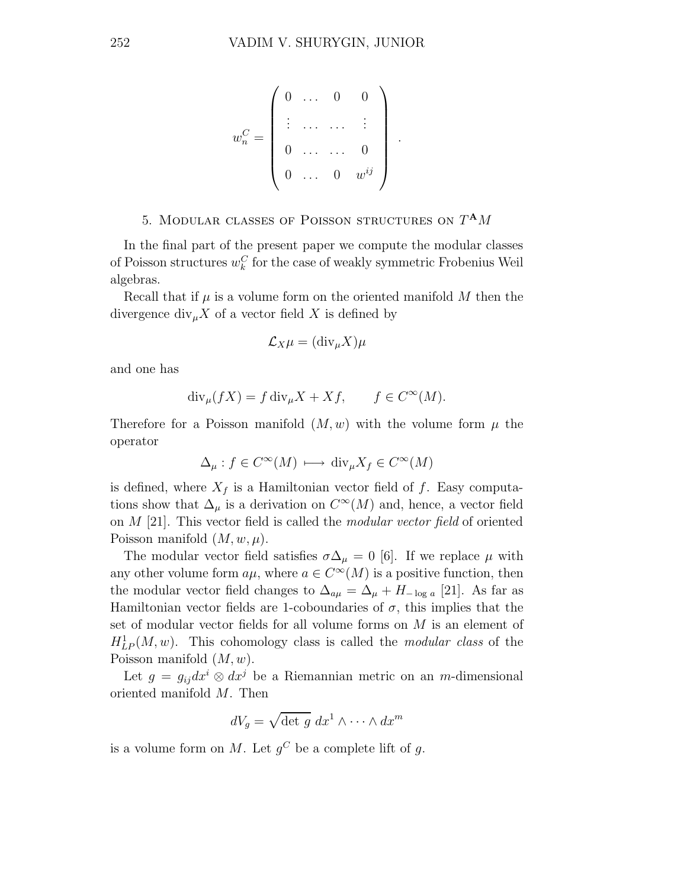$$
w_n^C = \left(\begin{array}{cccc} 0 & \dots & 0 & 0 \\ \vdots & \dots & \dots & \vdots \\ 0 & \dots & \dots & 0 \\ 0 & \dots & 0 & w^{ij} \end{array}\right)
$$

.

## 5. MODULAR CLASSES OF POISSON STRUCTURES ON  $T^{\mathbf{A}}M$

In the final part of the present paper we compute the modular classes of Poisson structures  $w_k^C$  for the case of weakly symmetric Frobenius Weil algebras.

Recall that if  $\mu$  is a volume form on the oriented manifold M then the divergence  $\text{div}_{\mu} X$  of a vector field X is defined by

$$
\mathcal{L}_X \mu = (\text{div}_{\mu} X) \mu
$$

and one has

$$
\operatorname{div}_{\mu}(fX) = f \operatorname{div}_{\mu} X + Xf, \qquad f \in C^{\infty}(M).
$$

Therefore for a Poisson manifold  $(M, w)$  with the volume form  $\mu$  the operator

$$
\Delta_{\mu} : f \in C^{\infty}(M) \longrightarrow \text{div}_{\mu} X_f \in C^{\infty}(M)
$$

is defined, where  $X_f$  is a Hamiltonian vector field of f. Easy computations show that  $\Delta_{\mu}$  is a derivation on  $C^{\infty}(M)$  and, hence, a vector field on M [21]. This vector field is called the modular vector field of oriented Poisson manifold  $(M, w, \mu)$ .

The modular vector field satisfies  $\sigma \Delta_{\mu} = 0$  [6]. If we replace  $\mu$  with any other volume form  $a\mu$ , where  $a \in C^{\infty}(M)$  is a positive function, then the modular vector field changes to  $\Delta_{a\mu} = \Delta_{\mu} + H_{-\log a}$  [21]. As far as Hamiltonian vector fields are 1-coboundaries of  $\sigma$ , this implies that the set of modular vector fields for all volume forms on M is an element of  $H_{LP}^1(M, w)$ . This cohomology class is called the *modular class* of the Poisson manifold  $(M, w)$ .

Let  $g = g_{ij}dx^{i} \otimes dx^{j}$  be a Riemannian metric on an m-dimensional oriented manifold M. Then

$$
dV_g = \sqrt{\det g} \ dx^1 \wedge \cdots \wedge dx^m
$$

is a volume form on M. Let  $g^C$  be a complete lift of g.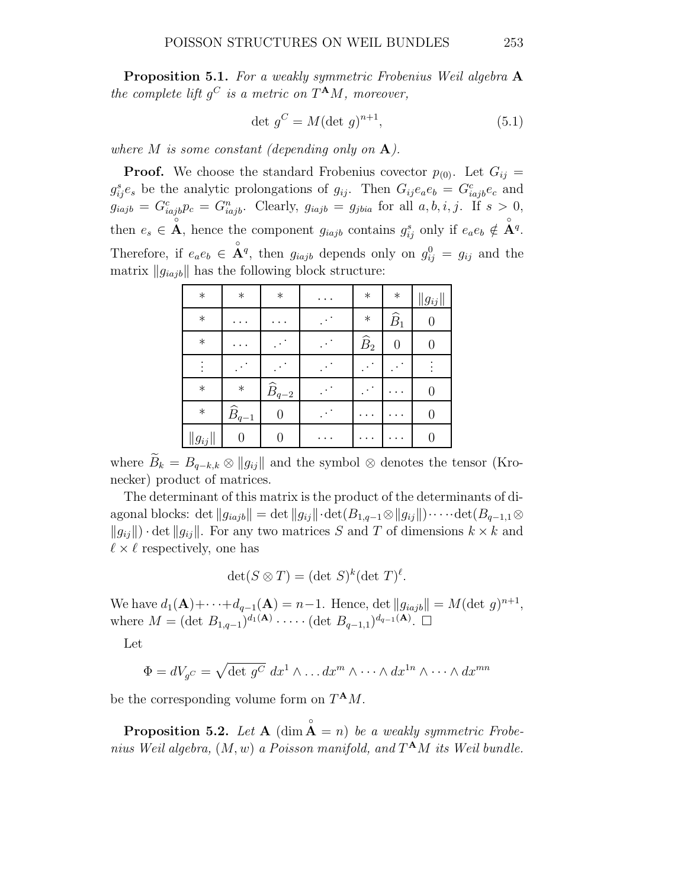**Proposition 5.1.** For a weakly symmetric Frobenius Weil algebra A the complete lift  $g^C$  is a metric on  $T^{\mathbf{A}}M$ , moreover,

$$
\det g^C = M(\det g)^{n+1},\tag{5.1}
$$

where M is some constant (depending only on  $\mathbf{A}$ ).

**Proof.** We choose the standard Frobenius covector  $p_{(0)}$ . Let  $G_{ij}$  =  $g_{ij}^{s}e_{s}$  be the analytic prolongations of  $g_{ij}$ . Then  $G_{ij}e_{a}e_{b} = G_{iajb}^{c}e_{c}$  and  $g_{iajb} = G_{iajb}^c p_c = G_{iajb}^n$ . Clearly,  $g_{iajb} = g_{jbia}$  for all  $a, b, i, j$ . If  $s > 0$ , then  $e_s \in \mathring{A}$ , hence the component  $g_{iajb}$  contains  $g_{ij}^s$  only if  $e_a e_b \notin \mathring{A}^q$ . Therefore, if  $e_a e_b \in \mathring{A}^q$ , then  $g_{iajb}$  depends only on  $g_{ij}^0 = g_{ij}$  and the matrix  $||g_{iajb}||$  has the following block structure:

| $\ast$      | $\ast$              | $\ast$              | $\cdots$ | $\ast$         | $\ast$          | $\ g_{ij}\ $     |
|-------------|---------------------|---------------------|----------|----------------|-----------------|------------------|
| $\ast$      | . .                 |                     |          | $\ast$         | $\widehat{B}_1$ |                  |
| $\ast$      | ٠                   |                     | ٠        | $\widehat B_2$ | 0               |                  |
| $\vdots$    |                     |                     |          |                |                 |                  |
| $\ast$      | $\ast$              | $\widehat{B}_{q-2}$ |          |                |                 |                  |
| $\ast$      | $\widehat{B}_{q-1}$ | 0                   |          |                |                 | $\left( \right)$ |
| $ g_{ij}  $ | 0                   |                     |          |                |                 |                  |

where  $\widetilde{B}_k = B_{q-k,k} \otimes ||g_{ij}||$  and the symbol ⊗ denotes the tensor (Kronecker) product of matrices.

The determinant of this matrix is the product of the determinants of diagonal blocks: det  $||g_{iajb}|| = \det ||g_{ij}|| \cdot \det(B_{1,q-1} \otimes ||g_{ij}||) \cdot \cdots \cdot \det(B_{q-1,1} \otimes ||g_{iq}||)$  $||g_{ii}|| \cdot det ||g_{ii}||$ . For any two matrices S and T of dimensions  $k \times k$  and  $\ell \times \ell$  respectively, one has

$$
\det(S \otimes T) = (\det S)^k (\det T)^{\ell}.
$$

We have  $d_1(\mathbf{A}) + \cdots + d_{q-1}(\mathbf{A}) = n-1$ . Hence, det  $||g_{iajb}|| = M(\det g)^{n+1}$ , where  $M = (\det B_{1,q-1})^{d_1(A)} \cdot \cdots \cdot (\det B_{q-1,1})^{d_{q-1}(A)}$ .  $\square$ 

Let

$$
\Phi = dV_{g}c = \sqrt{\det g^{C}} dx^{1} \wedge \dots dx^{m} \wedge \dots \wedge dx^{1n} \wedge \dots \wedge dx^{mn}
$$

be the corresponding volume form on  $T^{\mathbf{A}}M$ .

**Proposition 5.2.** Let  $A$  (dim  $\hat{A} = n$ ) be a weakly symmetric Frobenius Weil algebra,  $(M, w)$  a Poisson manifold, and  $T^{\mathbf{A}}M$  its Weil bundle.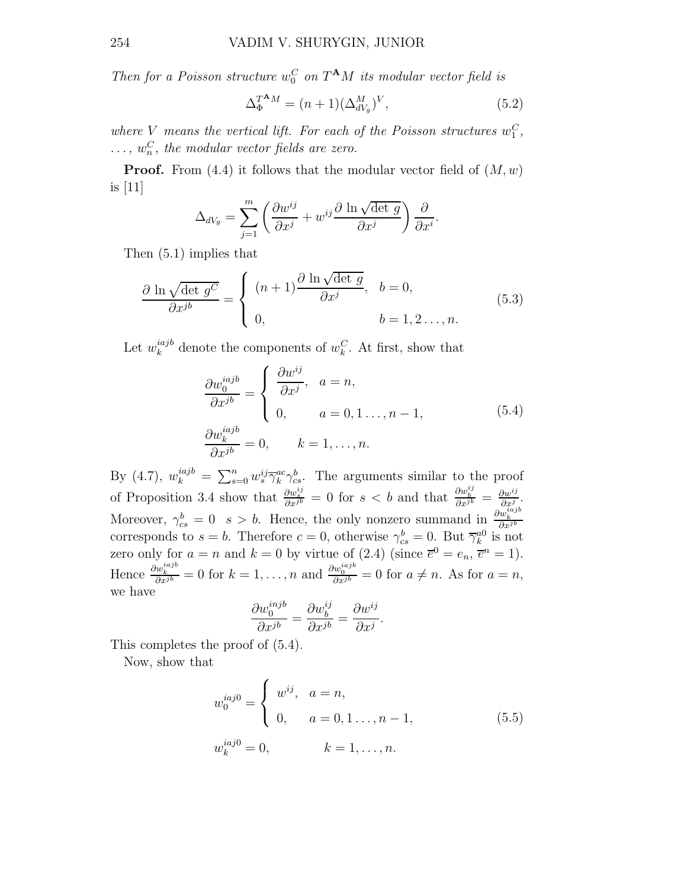Then for a Poisson structure  $w_0^C$  on  $T^{\mathbf{A}}M$  its modular vector field is

$$
\Delta_{\Phi}^{T^{\mathbf{A}}M} = (n+1)(\Delta_{dV_g}^M)^V, \tag{5.2}
$$

where V means the vertical lift. For each of the Poisson structures  $w_1^C$ ,  $\dots, w_n^C$ , the modular vector fields are zero.

**Proof.** From  $(4.4)$  it follows that the modular vector field of  $(M, w)$ is [11]

$$
\Delta_{dV_g} = \sum_{j=1}^m \left( \frac{\partial w^{ij}}{\partial x^j} + w^{ij} \frac{\partial \ln \sqrt{\det g}}{\partial x^j} \right) \frac{\partial}{\partial x^i}.
$$

Then (5.1) implies that

$$
\frac{\partial \ln \sqrt{\det g^C}}{\partial x^{jb}} = \begin{cases} (n+1) \frac{\partial \ln \sqrt{\det g}}{\partial x^j}, & b = 0, \\ 0, & b = 1, 2, ..., n. \end{cases}
$$
(5.3)

Let  $w_k^{iajb}$  $\mu_k^{iajb}$  denote the components of  $w_k^C$ . At first, show that

$$
\frac{\partial w_0^{iajb}}{\partial x^{jb}} = \begin{cases} \frac{\partial w^{ij}}{\partial x^j}, & a = n, \\ 0, & a = 0, 1 \dots, n - 1, \\ \frac{\partial w_k^{iajb}}{\partial x^{jb}} = 0, & k = 1, \dots, n. \end{cases}
$$
\n(5.4)

By (4.7),  $w_k^{iajb} = \sum_{s=0}^n w_s^{ij} \overline{\gamma}_k^{ac} \gamma_{cs}^b$ . The arguments similar to the proof of Proposition 3.4 show that  $\frac{\partial w_{\phi}^{ij}}{\partial x_{\phi}^{j}} = 0$  for  $s < b$  and that  $\frac{\partial w_{\phi}^{ij}}{\partial x_{\phi}^{j}} = \frac{\partial w_{\phi}^{ij}}{\partial x_{\phi}^{j}}$  $\frac{\partial w^{ij}}{\partial x^j}$ . Moreover,  $\gamma_{cs}^b = 0$  s > b. Hence, the only nonzero summand in  $\frac{\partial w_k^{iajb}}{\partial x^{jb}}$ corresponds to  $s = b$ . Therefore  $c = 0$ , otherwise  $\gamma_{cs}^b = 0$ . But  $\overline{\gamma}_k^{a0}$  is not zero only for  $a = n$  and  $k = 0$  by virtue of  $(2.4)$  (since  $\overline{e}^0 = e_n$ ,  $\overline{e}^n = 1$ ). Hence  $\frac{\partial w_k^{iajb}}{\partial x^{jb}} = 0$  for  $k = 1, ..., n$  and  $\frac{\partial w_0^{iajb}}{\partial x^{jb}} = 0$  for  $a \neq n$ . As for  $a = n$ , we have

$$
\frac{\partial w_0^{injb}}{\partial x^{jb}} = \frac{\partial w_b^{ij}}{\partial x^{jb}} = \frac{\partial w^{ij}}{\partial x^j}.
$$

This completes the proof of (5.4).

Now, show that

$$
w_0^{iaj0} = \begin{cases} w^{ij}, & a = n, \\ 0, & a = 0, 1 ..., n - 1, \end{cases}
$$
 (5.5)  

$$
w_k^{iaj0} = 0, \qquad k = 1, ..., n.
$$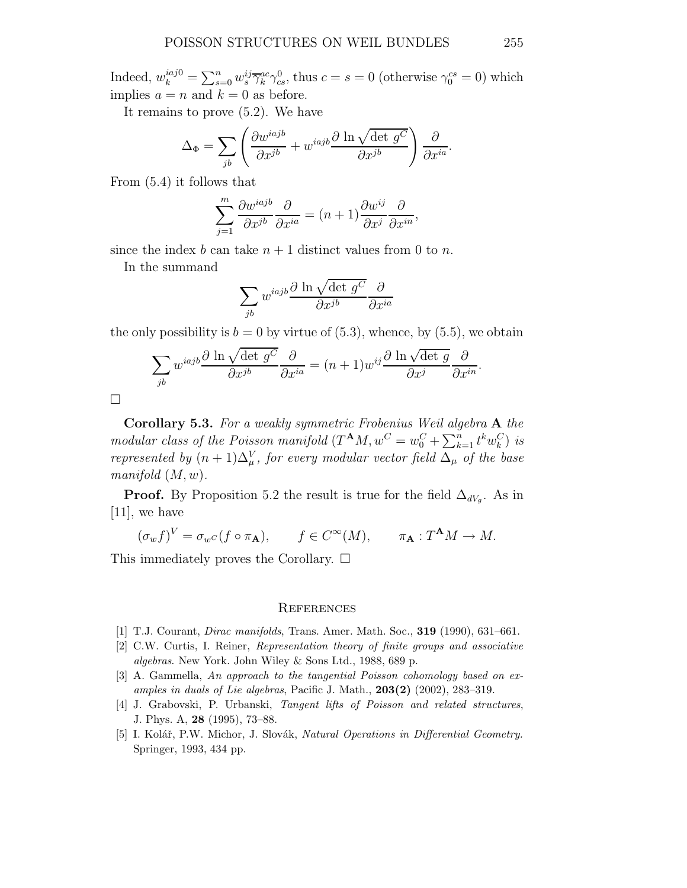Indeed,  $w_k^{iaj0} = \sum_{s=0}^n w_s^{ij} \overline{\gamma}_k^{ac} \gamma_{cs}^0$ , thus  $c = s = 0$  (otherwise  $\gamma_0^{cs} = 0$ ) which implies  $a = n$  and  $k = 0$  as before.

It remains to prove (5.2). We have

$$
\Delta_{\Phi} = \sum_{jb} \left( \frac{\partial w^{iajb}}{\partial x^{jb}} + w^{iajb} \frac{\partial \ln \sqrt{\det g^C}}{\partial x^{jb}} \right) \frac{\partial}{\partial x^{ia}}.
$$

From (5.4) it follows that

$$
\sum_{j=1}^{m} \frac{\partial w^{iajb}}{\partial x^{jb}} \frac{\partial}{\partial x^{ia}} = (n+1) \frac{\partial w^{ij}}{\partial x^{j}} \frac{\partial}{\partial x^{in}},
$$

since the index b can take  $n + 1$  distinct values from 0 to n.

In the summand

$$
\sum_{jb} w^{iajb} \frac{\partial \ln \sqrt{\det g^C}}{\partial x^{jb}} \frac{\partial}{\partial x^{ia}}
$$

the only possibility is  $b = 0$  by virtue of (5.3), whence, by (5.5), we obtain

$$
\sum_{jb} w^{iajb} \frac{\partial \ln \sqrt{\det g^C}}{\partial x^{jb}} \frac{\partial}{\partial x^{ia}} = (n+1)w^{ij} \frac{\partial \ln \sqrt{\det g}}{\partial x^j} \frac{\partial}{\partial x^{in}}.
$$

 $\Box$ 

Corollary 5.3. For a weakly symmetric Frobenius Weil algebra A the modular class of the Poisson manifold  $(T^{\mathbf{A}}M, w^C = w_0^C + \sum_{k=1}^n t^k w_k^C)$  is represented by  $(n+1)\Delta_{\mu}^{V}$ , for every modular vector field  $\Delta_{\mu}$  of the base manifold  $(M, w)$ .

**Proof.** By Proposition 5.2 the result is true for the field  $\Delta_{dV_g}$ . As in [11], we have

$$
(\sigma_w f)^V = \sigma_{w^C}(f \circ \pi_{\mathbf{A}}), \qquad f \in C^{\infty}(M), \qquad \pi_{\mathbf{A}} : T^{\mathbf{A}}M \to M.
$$

This immediately proves the Corollary.  $\square$ 

#### **REFERENCES**

- [1] T.J. Courant, Dirac manifolds, Trans. Amer. Math. Soc., 319 (1990), 631–661.
- [2] C.W. Curtis, I. Reiner, Representation theory of finite groups and associative algebras. New York. John Wiley & Sons Ltd., 1988, 689 p.
- [3] A. Gammella, An approach to the tangential Poisson cohomology based on examples in duals of Lie algebras, Pacific J. Math., 203(2) (2002), 283–319.
- [4] J. Grabovski, P. Urbanski, Tangent lifts of Poisson and related structures, J. Phys. A, 28 (1995), 73–88.
- [5] I. Kolář, P.W. Michor, J. Slovák, Natural Operations in Differential Geometry. Springer, 1993, 434 pp.